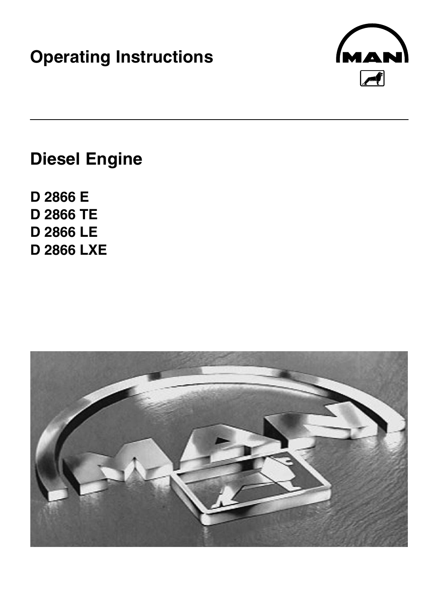# **Operating Instructions**



# **Diesel Engine**

**D 2866 E D 2866 TE D 2866 LE D 2866 LXE**

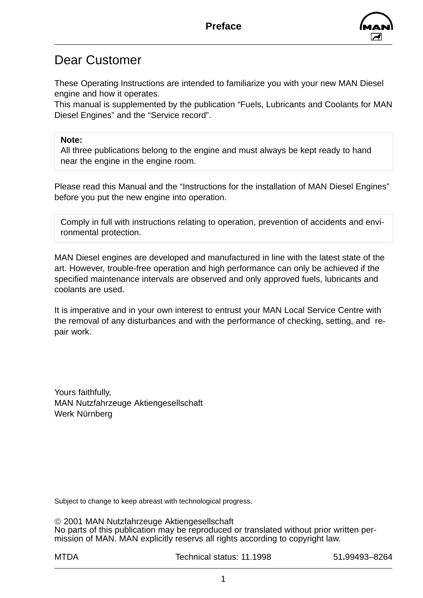

### Dear Customer

These Operating Instructions are intended to familiarize you with your new MAN Diesel engine and how it operates.

This manual is supplemented by the publication "Fuels, Lubricants and Coolants for MAN Diesel Engines" and the "Service record".

#### **Note:**

All three publications belong to the engine and must always be kept ready to hand near the engine in the engine room.

Please read this Manual and the "Instructions for the installation of MAN Diesel Engines" before you put the new engine into operation.

Comply in full with instructions relating to operation, prevention of accidents and environmental protection.

MAN Diesel engines are developed and manufactured in line with the latest state of the art. However, trouble-free operation and high performance can only be achieved if the specified maintenance intervals are observed and only approved fuels, lubricants and coolants are used.

It is imperative and in your own interest to entrust your MAN Local Service Centre with the removal of any disturbances and with the performance of checking, setting, and repair work.

Yours faithfully, MAN Nutzfahrzeuge Aktiengesellschaft Werk Nürnberg

Subject to change to keep abreast with technological progress.

 2001 MAN Nutzfahrzeuge Aktiengesellschaft No parts of this publication may be reproduced or translated without prior written permission of MAN. MAN explicitly reservs all rights according to copyright law.

MTDA Technical status: 11.1998 51**.**99493–8264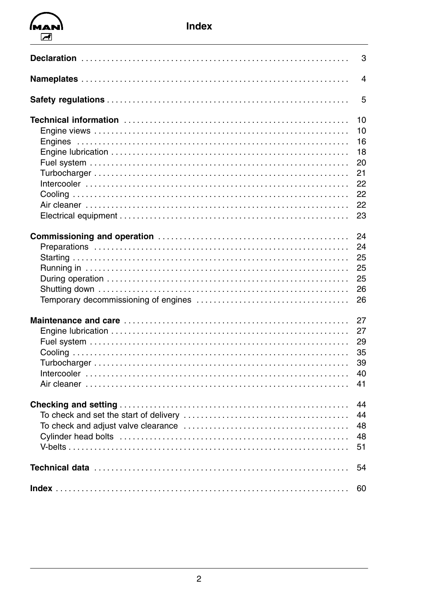## $MAN$  $\sqrt{ }$

| 3                                                        |
|----------------------------------------------------------|
| $\overline{4}$                                           |
| 5                                                        |
| 10<br>10<br>16<br>18<br>20<br>21<br>22<br>22<br>22<br>23 |
| 24<br>24<br>25<br>25<br>25<br>26<br>26                   |
| 27<br>27<br>29<br>35<br>39<br>40<br>41                   |
| 44<br>44<br>48<br>48<br>51                               |
| 54                                                       |
| 60                                                       |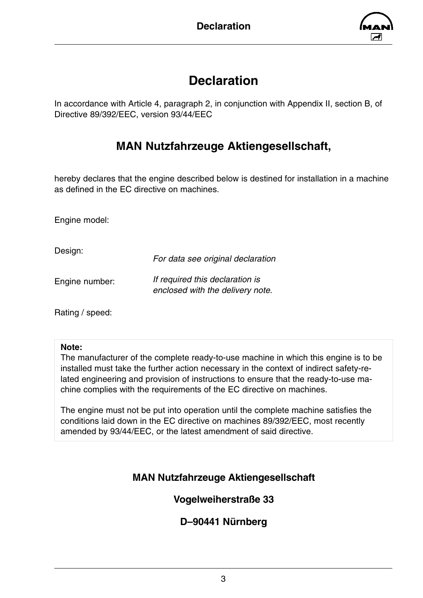

### **Declaration**

<span id="page-4-0"></span>In accordance with Article 4, paragraph 2, in conjunction with Appendix II, section B, of Directive 89/392/EEC, version 93/44/EEC

### **MAN Nutzfahrzeuge Aktiengesellschaft,**

hereby declares that the engine described below is destined for installation in a machine as defined in the EC directive on machines.

Engine model:

Design:

*For data see original declaration*

Engine number:

*If required this declaration is* 

*enclosed with the delivery note.*

Rating / speed:

#### **Note:**

The manufacturer of the complete ready-to-use machine in which this engine is to be installed must take the further action necessary in the context of indirect safety-related engineering and provision of instructions to ensure that the ready-to-use machine complies with the requirements of the EC directive on machines.

The engine must not be put into operation until the complete machine satisfies the conditions laid down in the EC directive on machines 89/392/EEC, most recently amended by 93/44/EEC, or the latest amendment of said directive.

### **MAN Nutzfahrzeuge Aktiengesellschaft**

### **Vogelweiherstraße 33**

### **D–90441 Nürnberg**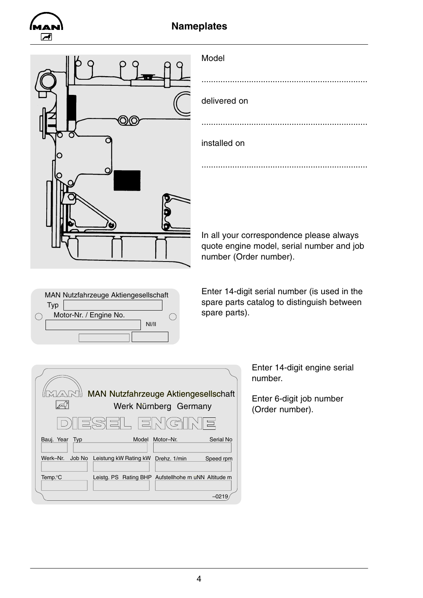<span id="page-5-0"></span>

### **Nameplates**



| Model        |  |
|--------------|--|
|              |  |
| delivered on |  |
|              |  |
| installed on |  |
|              |  |
|              |  |

In all your correspondence please always quote engine model, serial number and job number (Order number).



Enter 14-digit serial number (is used in the spare parts catalog to distinguish between spare parts).

| $\sqrt{ \mathcal{M} }$ | <b>MAN Nutzfahrzeuge Aktiengesellschaft</b><br>Werk Nürnberg Germany |
|------------------------|----------------------------------------------------------------------|
|                        | D) ES EL EN<br>$\circ$ $\circ$ $\circ$ $\circ$                       |
| Bauj. Year Typ         | Serial No<br>Model<br>Motor-Nr.                                      |
| Werk-Nr.<br>Job No     | Leistung kW Rating kW<br>Drehz. 1/min<br>Speed rpm                   |
| Temp. <sup>o</sup> C   | Leistg. PS Rating BHP Aufstellhohe m uNN Altitude m                  |
|                        | –0219                                                                |

Enter 14-digit engine serial number.

Enter 6-digit job number (Order number).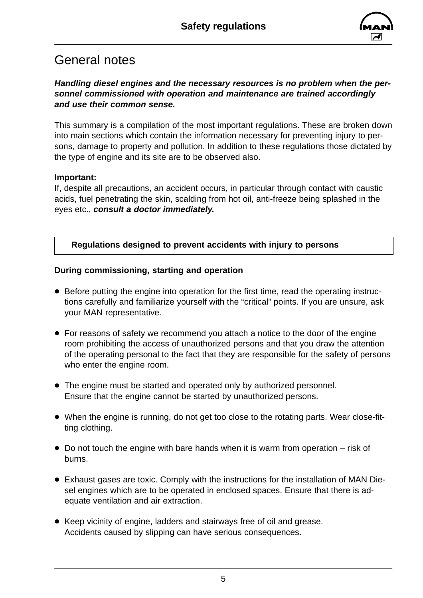

### <span id="page-6-0"></span>General notes

### *Handling diesel engines and the necessary resources is no problem when the personnel commissioned with operation and maintenance are trained accordingly and use their common sense.*

This summary is a compilation of the most important regulations. These are broken down into main sections which contain the information necessary for preventing injury to persons, damage to property and pollution. In addition to these regulations those dictated by the type of engine and its site are to be observed also.

### **Important:**

If, despite all precautions, an accident occurs, in particular through contact with caustic acids, fuel penetrating the skin, scalding from hot oil, anti-freeze being splashed in the eyes etc., *consult a doctor immediately***.**

### **Regulations designed to prevent accidents with injury to persons**

### **During commissioning, starting and operation**

- Before putting the engine into operation for the first time, read the operating instructions carefully and familiarize yourself with the "critical" points. If you are unsure, ask your MAN representative.
- For reasons of safety we recommend you attach a notice to the door of the engine room prohibiting the access of unauthorized persons and that you draw the attention of the operating personal to the fact that they are responsible for the safety of persons who enter the engine room.
- The engine must be started and operated only by authorized personnel. Ensure that the engine cannot be started by unauthorized persons.
- When the engine is running, do not get too close to the rotating parts. Wear close-fitting clothing.
- $\bullet$  Do not touch the engine with bare hands when it is warm from operation risk of burns.
- Exhaust gases are toxic. Comply with the instructions for the installation of MAN Diesel engines which are to be operated in enclosed spaces. Ensure that there is adequate ventilation and air extraction.
- Keep vicinity of engine, ladders and stairways free of oil and grease. Accidents caused by slipping can have serious consequences.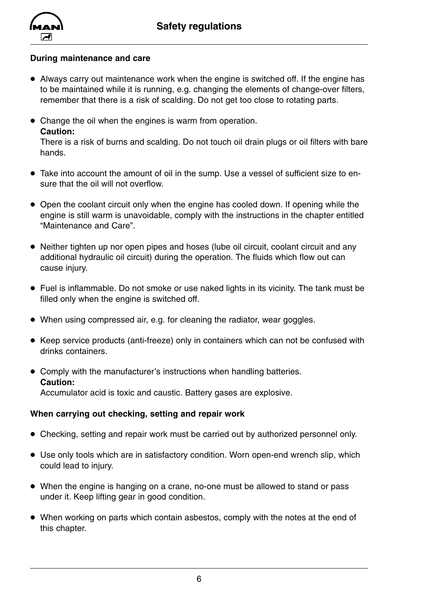

#### **During maintenance and care**

- Always carry out maintenance work when the engine is switched off. If the engine has to be maintained while it is running, e.g. changing the elements of change-over filters, remember that there is a risk of scalding. Do not get too close to rotating parts.
- Change the oil when the engines is warm from operation. **Caution:**

There is a risk of burns and scalding. Do not touch oil drain plugs or oil filters with bare hands.

- Take into account the amount of oil in the sump. Use a vessel of sufficient size to ensure that the oil will not overflow.
- Open the coolant circuit only when the engine has cooled down. If opening while the engine is still warm is unavoidable, comply with the instructions in the chapter entitled "Maintenance and Care".
- Neither tighten up nor open pipes and hoses (lube oil circuit, coolant circuit and any additional hydraulic oil circuit) during the operation. The fluids which flow out can cause injury.
- Fuel is inflammable. Do not smoke or use naked lights in its vicinity. The tank must be filled only when the engine is switched off.
- When using compressed air, e.g. for cleaning the radiator, wear goggles.
- Keep service products (anti-freeze) only in containers which can not be confused with drinks containers.
- Comply with the manufacturer's instructions when handling batteries. **Caution:** Accumulator acid is toxic and caustic. Battery gases are explosive.

### **When carrying out checking, setting and repair work**

- Checking, setting and repair work must be carried out by authorized personnel only.
- Use only tools which are in satisfactory condition. Worn open-end wrench slip, which could lead to injury.
- When the engine is hanging on a crane, no-one must be allowed to stand or pass under it. Keep lifting gear in good condition.
- When working on parts which contain asbestos, comply with the notes at the end of this chapter.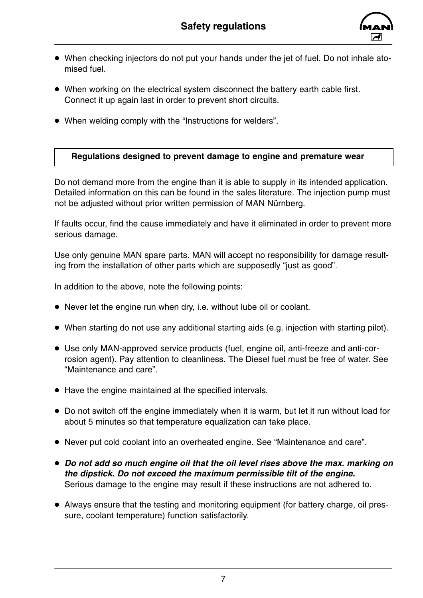

- <span id="page-8-0"></span>• When checking injectors do not put your hands under the jet of fuel. Do not inhale atomised fuel.
- When working on the electrical system disconnect the battery earth cable first. Connect it up again last in order to prevent short circuits.
- When welding comply with the "Instructions for welders".

### **Regulations designed to prevent damage to engine and premature wear**

Do not demand more from the engine than it is able to supply in its intended application. Detailed information on this can be found in the sales literature. The injection pump must not be adjusted without prior written permission of MAN Nürnberg.

If faults occur, find the cause immediately and have it eliminated in order to prevent more serious damage.

Use only genuine MAN spare parts. MAN will accept no responsibility for damage resulting from the installation of other parts which are supposedly "just as good".

In addition to the above, note the following points:

- Never let the engine run when dry, i.e. without lube oil or coolant.
- When starting do not use any additional starting aids (e.g. injection with starting pilot).
- Use only MAN-approved service products (fuel, engine oil, anti-freeze and anti-corrosion agent). Pay attention to cleanliness. The Diesel fuel must be free of water. See "Maintenance and care".
- Have the engine maintained at the specified intervals.
- Do not switch off the engine immediately when it is warm, but let it run without load for about 5 minutes so that temperature equalization can take place.
- D Never put cold coolant into an overheated engine. See "Maintenance and care".
- Do not add so much engine oil that the oil level rises above the max. marking on *the dipstick. Do not exceed the maximum permissible tilt of the engine.* Serious damage to the engine may result if these instructions are not adhered to.
- Always ensure that the testing and monitoring equipment (for battery charge, oil pressure, coolant temperature) function satisfactorily.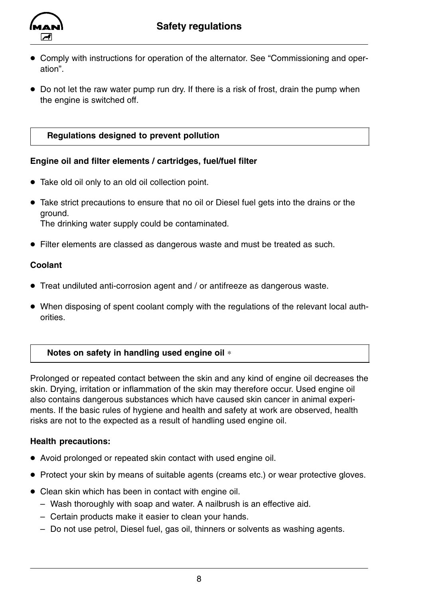

<span id="page-9-0"></span>

- Comply with instructions for operation of the alternator. See "Commissioning and operation".
- Do not let the raw water pump run dry. If there is a risk of frost, drain the pump when the engine is switched off.

### **Regulations designed to prevent pollution**

### **Engine oil and filter elements / cartridges, fuel/fuel filter**

- Take old oil only to an old oil collection point.
- Take strict precautions to ensure that no oil or Diesel fuel gets into the drains or the ground. The drinking water supply could be contaminated.
- Filter elements are classed as dangerous waste and must be treated as such.

#### **Coolant**

- Treat undiluted anti-corrosion agent and / or antifreeze as dangerous waste.
- When disposing of spent coolant comply with the regulations of the relevant local authorities.

### **Notes on safety in handling used engine oil** ∗

Prolonged or repeated contact between the skin and any kind of engine oil decreases the skin. Drying, irritation or inflammation of the skin may therefore occur. Used engine oil also contains dangerous substances which have caused skin cancer in animal experiments. If the basic rules of hygiene and health and safety at work are observed, health risks are not to the expected as a result of handling used engine oil.

### **Health precautions:**

- Avoid prolonged or repeated skin contact with used engine oil.
- Protect your skin by means of suitable agents (creams etc.) or wear protective gloves.
- Clean skin which has been in contact with engine oil.
	- Wash thoroughly with soap and water. A nailbrush is an effective aid.
	- Certain products make it easier to clean your hands.
	- Do not use petrol, Diesel fuel, gas oil, thinners or solvents as washing agents.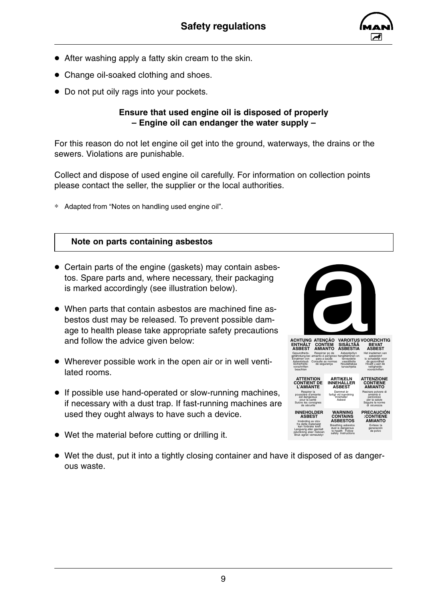

- <span id="page-10-0"></span> $\bullet$  After washing apply a fatty skin cream to the skin.
- Change oil-soaked clothing and shoes.
- Do not put oily rags into your pockets.

#### **Ensure that used engine oil is disposed of properly – Engine oil can endanger the water supply –**

For this reason do not let engine oil get into the ground, waterways, the drains or the sewers. Violations are punishable.

Collect and dispose of used engine oil carefully. For information on collection points please contact the seller, the supplier or the local authorities.

∗ Adapted from "Notes on handling used engine oil".

#### **Note on parts containing asbestos**

- Certain parts of the engine (gaskets) may contain asbestos. Spare parts and, where necessary, their packaging is marked accordingly (see illustration below).
- When parts that contain asbestos are machined fine asbestos dust may be released. To prevent possible damage to health please take appropriate safety precautions and follow the advice given below:
- Wherever possible work in the open air or in well ventilated rooms.
- If possible use hand-operated or slow-running machines, if necessary with a dust trap. If fast-running machines are used they ought always to have such a device.
- $\bullet$  Wet the material before cutting or drilling it.
- Wet the dust, put it into a tightly closing container and have it disposed of as dangerous waste.





Bruk egnet vemeutstyr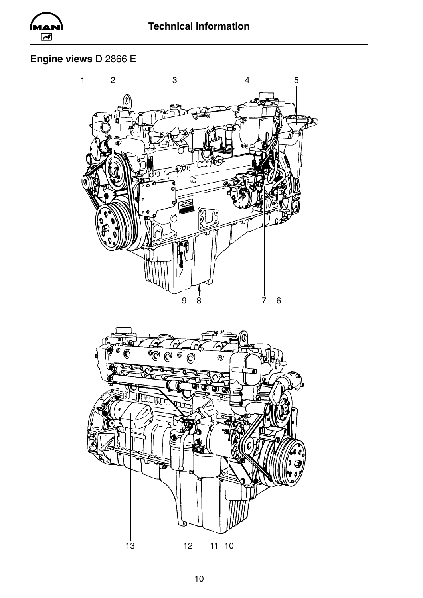<span id="page-11-0"></span>

### **Engine views** D 2866 E



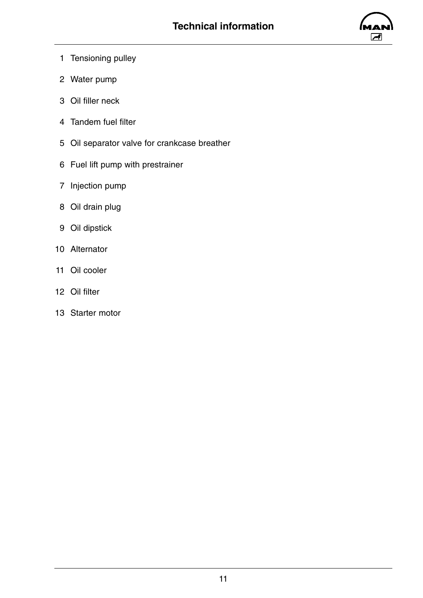

- 1 Tensioning pulley
- 2 Water pump
- 3 Oil filler neck
- 4 Tandem fuel filter
- 5 Oil separator valve for crankcase breather
- 6 Fuel lift pump with prestrainer
- 7 Injection pump
- 8 Oil drain plug
- 9 Oil dipstick
- 10 Alternator
- 11 Oil cooler
- 12 Oil filter
- 13 Starter motor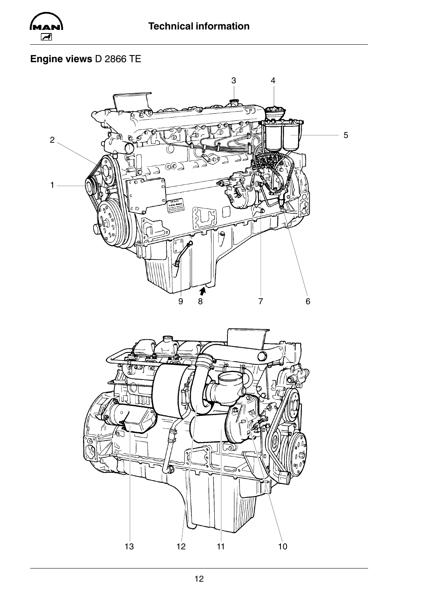

### Engine views D 2866 TE



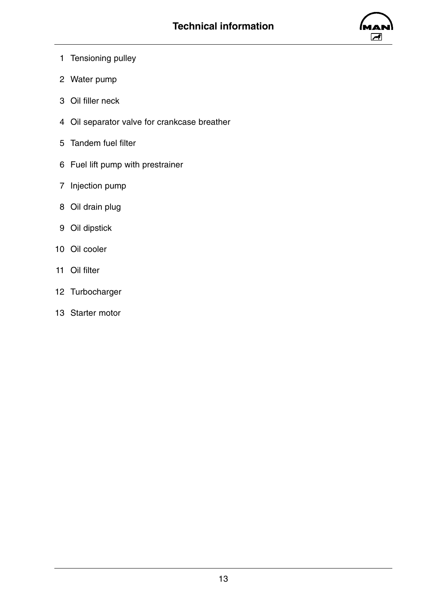

- 1 Tensioning pulley
- 2 Water pump
- 3 Oil filler neck
- 4 Oil separator valve for crankcase breather
- 5 Tandem fuel filter
- 6 Fuel lift pump with prestrainer
- 7 Injection pump
- 8 Oil drain plug
- 9 Oil dipstick
- 10 Oil cooler
- 11 Oil filter
- 12 Turbocharger
- 13 Starter motor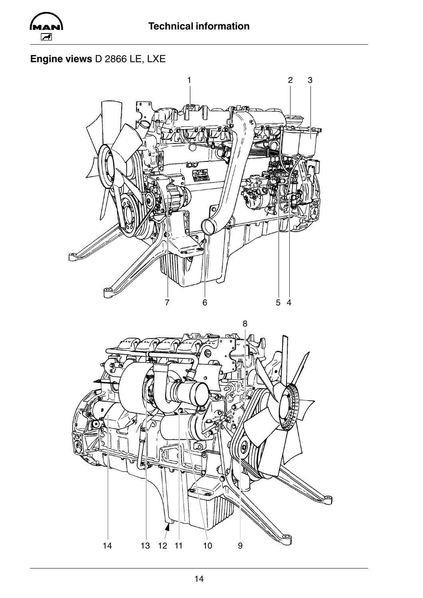

### Engine views D 2866 LE, LXE



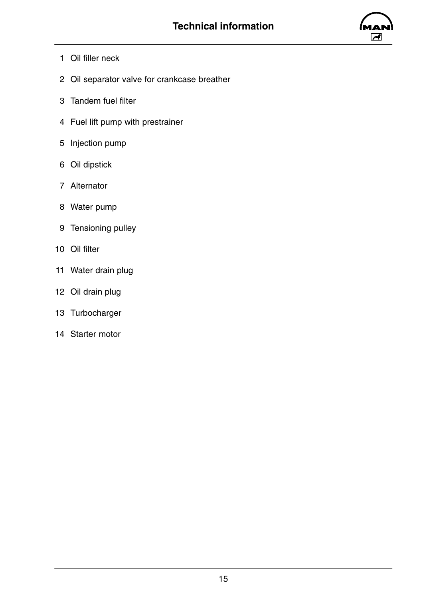

- 1 Oil filler neck
- 2 Oil separator valve for crankcase breather
- 3 Tandem fuel filter
- 4 Fuel lift pump with prestrainer
- 5 Injection pump
- 6 Oil dipstick
- 7 Alternator
- 8 Water pump
- 9 Tensioning pulley
- 10 Oil filter
- 11 Water drain plug
- 12 Oil drain plug
- 13 Turbocharger
- 14 Starter motor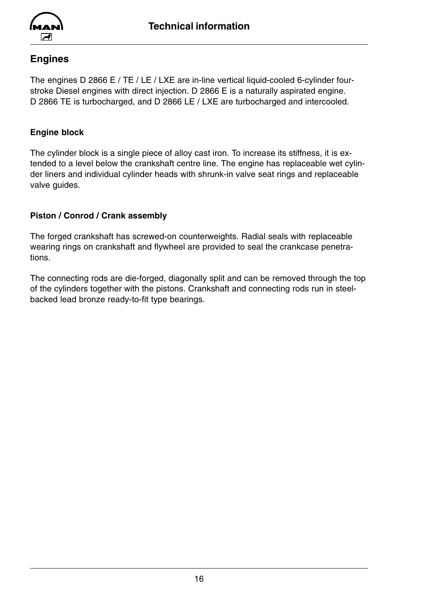<span id="page-17-0"></span>

### **Engines**

The engines D 2866 E / TE / LE / LXE are in-line vertical liquid-cooled 6-cylinder fourstroke Diesel engines with direct injection. D 2866 E is a naturally aspirated engine. D 2866 TE is turbocharged, and D 2866 LE / LXE are turbocharged and intercooled.

#### **Engine block**

The cylinder block is a single piece of alloy cast iron. To increase its stiffness, it is extended to a level below the crankshaft centre line. The engine has replaceable wet cylinder liners and individual cylinder heads with shrunk-in valve seat rings and replaceable valve guides.

### **Piston / Conrod / Crank assembly**

The forged crankshaft has screwed-on counterweights. Radial seals with replaceable wearing rings on crankshaft and flywheel are provided to seal the crankcase penetrations.

The connecting rods are die-forged, diagonally split and can be removed through the top of the cylinders together with the pistons. Crankshaft and connecting rods run in steelbacked lead bronze ready-to-fit type bearings.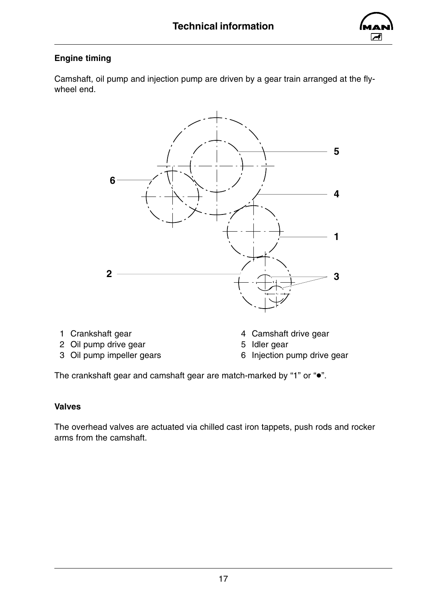

### <span id="page-18-0"></span>**Engine timing**

Camshaft, oil pump and injection pump are driven by a gear train arranged at the flywheel end.



- 
- 
- 2 Oil pump drive gear<br>
3 Oil pump impeller gears<br>
5 Idler gears
5 6 Injection p
- 1 Crankshaft gear 1 Crankshaft gear 4 Camshaft drive gear
	-
	- 6 Injection pump drive gear

The crankshaft gear and camshaft gear are match-marked by "1" or " $\bullet$ ".

### **Valves**

The overhead valves are actuated via chilled cast iron tappets, push rods and rocker arms from the camshaft.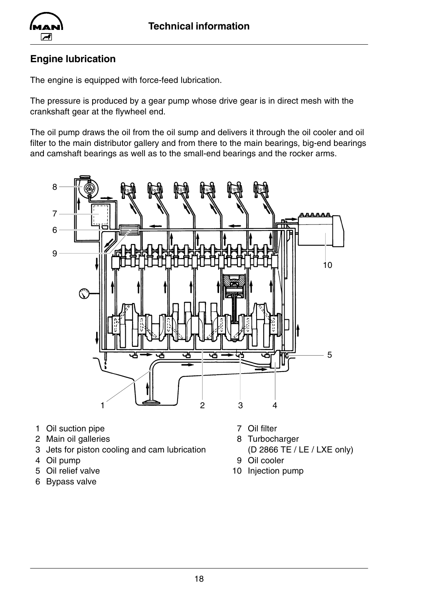<span id="page-19-0"></span>

### **Engine lubrication**

The engine is equipped with force-feed lubrication.

The pressure is produced by a gear pump whose drive gear is in direct mesh with the crankshaft gear at the flywheel end.

The oil pump draws the oil from the oil sump and delivers it through the oil cooler and oil filter to the main distributor gallery and from there to the main bearings, big-end bearings and camshaft bearings as well as to the small-end bearings and the rocker arms.



- 1 Oil suction pipe 7 Oil filter
- 2 Main oil galleries 8 Turbocharger
- 3 Jets for piston cooling and cam lubrication (D 2866 TE / LE / LXE only)
- 
- 
- 6 Bypass valve
- 
- 
- 4 Oil pump 9 Oil cooler
- 5 Oil relief valve 10 Injection pump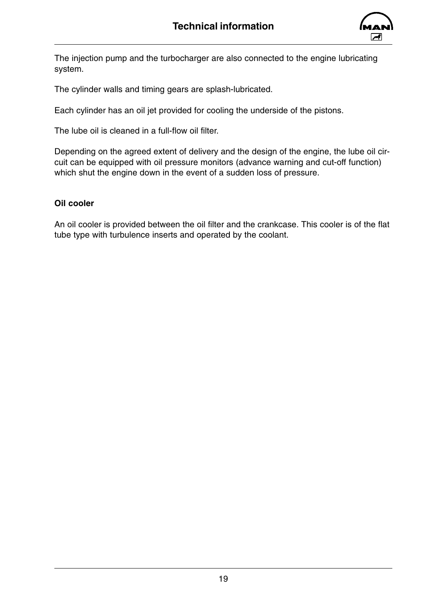

<span id="page-20-0"></span>The injection pump and the turbocharger are also connected to the engine lubricating system.

The cylinder walls and timing gears are splash-lubricated.

Each cylinder has an oil jet provided for cooling the underside of the pistons.

The lube oil is cleaned in a full-flow oil filter.

Depending on the agreed extent of delivery and the design of the engine, the lube oil circuit can be equipped with oil pressure monitors (advance warning and cut-off function) which shut the engine down in the event of a sudden loss of pressure.

#### **Oil cooler**

An oil cooler is provided between the oil filter and the crankcase. This cooler is of the flat tube type with turbulence inserts and operated by the coolant.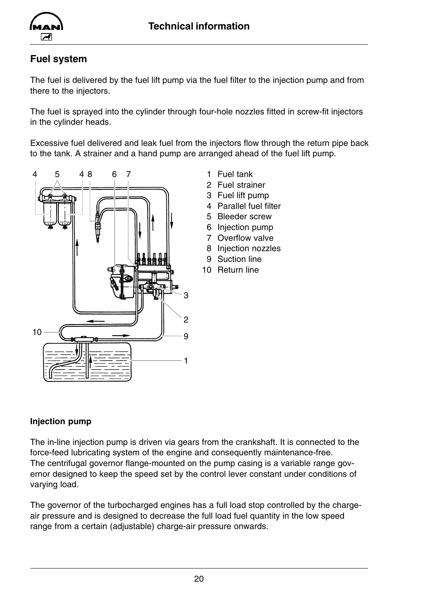<span id="page-21-0"></span>

### **Fuel system**

The fuel is delivered by the fuel lift pump via the fuel filter to the injection pump and from there to the injectors.

The fuel is sprayed into the cylinder through four-hole nozzles fitted in screw-fit injectors in the cylinder heads.

Excessive fuel delivered and leak fuel from the injectors flow through the return pipe back to the tank. A strainer and a hand pump are arranged ahead of the fuel lift pump.



- 1 Fuel tank
- 2 Fuel strainer
- 3 Fuel lift pump
- 4 Parallel fuel filter
- 5 Bleeder screw
- 6 Injection pump
- 7 Overflow valve
- 8 Injection nozzles
- 9 Suction line
- 10 Return line

### **Injection pump**

The in-line injection pump is driven via gears from the crankshaft. It is connected to the force-feed lubricating system of the engine and consequently maintenance-free. The centrifugal governor flange-mounted on the pump casing is a variable range governor designed to keep the speed set by the control lever constant under conditions of varying load.

The governor of the turbocharged engines has a full load stop controlled by the chargeair pressure and is designed to decrease the full load fuel quantity in the low speed range from a certain (adjustable) charge-air pressure onwards.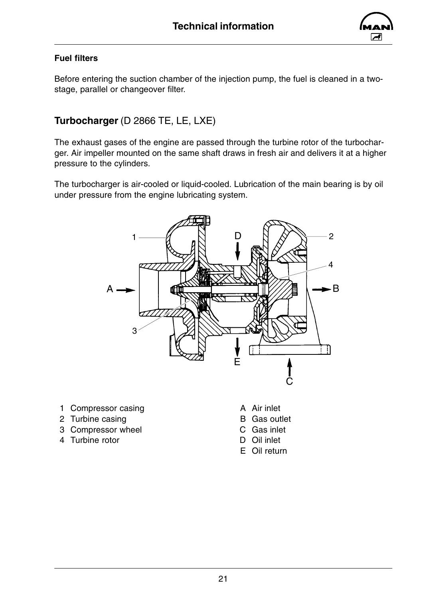

### <span id="page-22-0"></span>**Fuel filters**

Before entering the suction chamber of the injection pump, the fuel is cleaned in a twostage, parallel or changeover filter.

### **Turbocharger** (D 2866 TE, LE, LXE)

The exhaust gases of the engine are passed through the turbine rotor of the turbocharger. Air impeller mounted on the same shaft draws in fresh air and delivers it at a higher pressure to the cylinders.

The turbocharger is air-cooled or liquid-cooled. Lubrication of the main bearing is by oil under pressure from the engine lubricating system.



- 1 Compressor casing **A** Air inlet
- 2 Turbine casing **B** Gas outlet
- 3 Compressor wheel C Gas inlet
- 4 Turbine rotor D Oil inlet
- 
- 
- -
	- E Oil return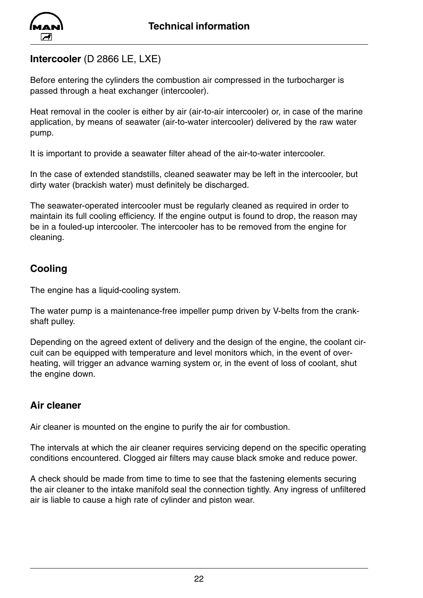<span id="page-23-0"></span>

### **Intercooler** (D 2866 LE, LXE)

Before entering the cylinders the combustion air compressed in the turbocharger is passed through a heat exchanger (intercooler).

Heat removal in the cooler is either by air (air-to-air intercooler) or, in case of the marine application, by means of seawater (air-to-water intercooler) delivered by the raw water pump.

It is important to provide a seawater filter ahead of the air-to-water intercooler.

In the case of extended standstills, cleaned seawater may be left in the intercooler, but dirty water (brackish water) must definitely be discharged.

The seawater-operated intercooler must be regularly cleaned as required in order to maintain its full cooling efficiency. If the engine output is found to drop, the reason may be in a fouled-up intercooler. The intercooler has to be removed from the engine for cleaning.

### **Cooling**

The engine has a liquid-cooling system.

The water pump is a maintenance-free impeller pump driven by V-belts from the crankshaft pulley.

Depending on the agreed extent of delivery and the design of the engine, the coolant circuit can be equipped with temperature and level monitors which, in the event of overheating, will trigger an advance warning system or, in the event of loss of coolant, shut the engine down.

### **Air cleaner**

Air cleaner is mounted on the engine to purify the air for combustion.

The intervals at which the air cleaner requires servicing depend on the specific operating conditions encountered. Clogged air filters may cause black smoke and reduce power.

A check should be made from time to time to see that the fastening elements securing the air cleaner to the intake manifold seal the connection tightly. Any ingress of unfiltered air is liable to cause a high rate of cylinder and piston wear.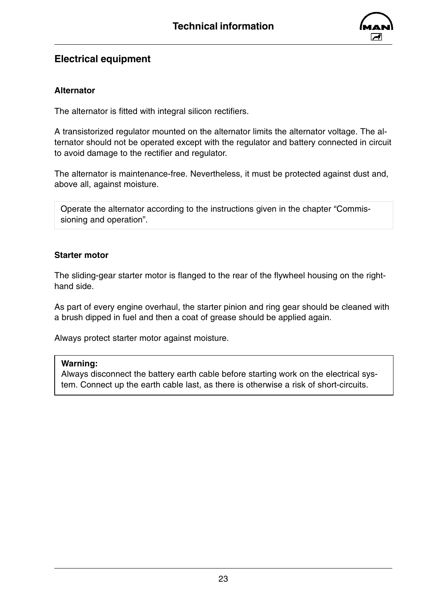

### <span id="page-24-0"></span>**Electrical equipment**

### **Alternator**

The alternator is fitted with integral silicon rectifiers.

A transistorized regulator mounted on the alternator limits the alternator voltage. The alternator should not be operated except with the regulator and battery connected in circuit to avoid damage to the rectifier and regulator.

The alternator is maintenance-free. Nevertheless, it must be protected against dust and, above all, against moisture.

Operate the alternator according to the instructions given in the chapter "Commissioning and operation".

### **Starter motor**

The sliding-gear starter motor is flanged to the rear of the flywheel housing on the righthand side.

As part of every engine overhaul, the starter pinion and ring gear should be cleaned with a brush dipped in fuel and then a coat of grease should be applied again.

Always protect starter motor against moisture.

#### **Warning:**

Always disconnect the battery earth cable before starting work on the electrical system. Connect up the earth cable last, as there is otherwise a risk of short-circuits.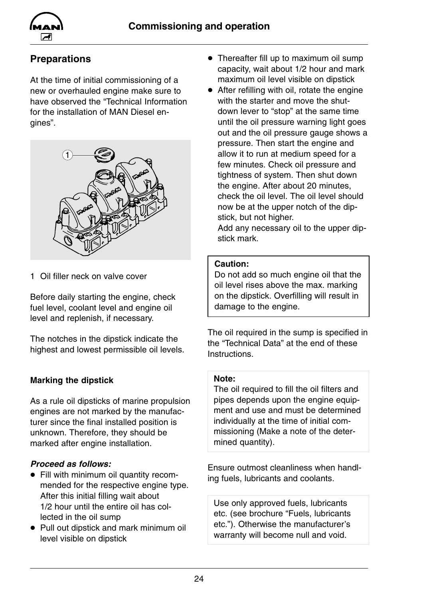<span id="page-25-0"></span>

### **Preparations**

At the time of initial commissioning of a new or overhauled engine make sure to have observed the "Technical Information for the installation of MAN Diesel engines".



1 Oil filler neck on valve cover

Before daily starting the engine, check fuel level, coolant level and engine oil level and replenish, if necessary.

The notches in the dipstick indicate the highest and lowest permissible oil levels.

### **Marking the dipstick**

As a rule oil dipsticks of marine propulsion engines are not marked by the manufacturer since the final installed position is unknown. Therefore, they should be marked after engine installation.

### *Proceed as follows:*

- Fill with minimum oil quantity recommended for the respective engine type. After this initial filling wait about 1/2 hour until the entire oil has collected in the oil sump
- Pull out dipstick and mark minimum oil level visible on dipstick
- Thereafter fill up to maximum oil sump capacity, wait about 1/2 hour and mark maximum oil level visible on dipstick
- $\bullet$  After refilling with oil, rotate the engine with the starter and move the shutdown lever to "stop" at the same time until the oil pressure warning light goes out and the oil pressure gauge shows a pressure. Then start the engine and allow it to run at medium speed for a few minutes. Check oil pressure and tightness of system. Then shut down the engine. After about 20 minutes, check the oil level. The oil level should now be at the upper notch of the dipstick, but not higher.

Add any necessary oil to the upper dipstick mark.

#### **Caution:**

Do not add so much engine oil that the oil level rises above the max. marking on the dipstick. Overfilling will result in damage to the engine.

The oil required in the sump is specified in the "Technical Data" at the end of these Instructions.

### **Note:**

The oil required to fill the oil filters and pipes depends upon the engine equipment and use and must be determined individually at the time of initial commissioning (Make a note of the determined quantity).

Ensure outmost cleanliness when handling fuels, lubricants and coolants.

Use only approved fuels, lubricants etc. (see brochure "Fuels, lubricants etc."). Otherwise the manufacturer's warranty will become null and void.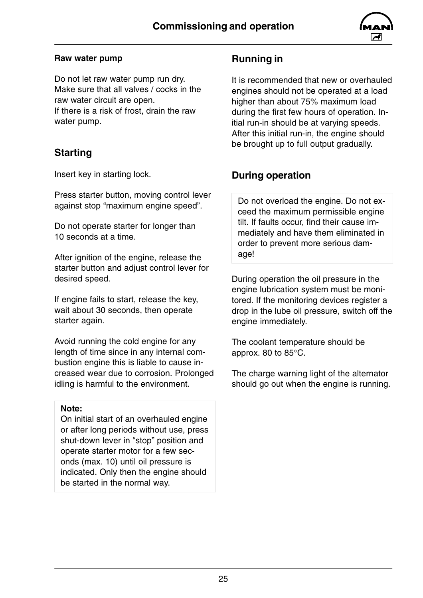

#### <span id="page-26-0"></span>**Raw water pump**

Do not let raw water pump run dry. Make sure that all valves / cocks in the raw water circuit are open. If there is a risk of frost, drain the raw water pump.

### **Starting**

Insert key in starting lock.

Press starter button, moving control lever against stop "maximum engine speed".

Do not operate starter for longer than 10 seconds at a time.

After ignition of the engine, release the starter button and adjust control lever for desired speed.

If engine fails to start, release the key, wait about 30 seconds, then operate starter again.

Avoid running the cold engine for any length of time since in any internal combustion engine this is liable to cause increased wear due to corrosion. Prolonged idling is harmful to the environment.

#### **Note:**

On initial start of an overhauled engine or after long periods without use, press shut-down lever in "stop" position and operate starter motor for a few seconds (max. 10) until oil pressure is indicated. Only then the engine should be started in the normal way.

### **Running in**

It is recommended that new or overhauled engines should not be operated at a load higher than about 75% maximum load during the first few hours of operation. Initial run-in should be at varying speeds. After this initial run-in, the engine should be brought up to full output gradually.

### **During operation**

Do not overload the engine. Do not exceed the maximum permissible engine tilt. If faults occur, find their cause immediately and have them eliminated in order to prevent more serious damage!

During operation the oil pressure in the engine lubrication system must be monitored. If the monitoring devices register a drop in the lube oil pressure, switch off the engine immediately.

The coolant temperature should be approx. 80 to 85°C.

The charge warning light of the alternator should go out when the engine is running.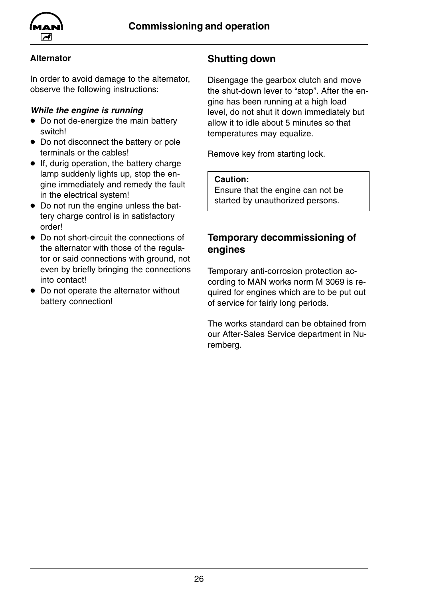<span id="page-27-0"></span>

### **Alternator**

In order to avoid damage to the alternator, observe the following instructions:

### *While the engine is running*

- $\bullet$  Do not de-energize the main battery switch!
- Do not disconnect the battery or pole terminals or the cables!
- $\bullet$  If, durig operation, the battery charge lamp suddenly lights up, stop the engine immediately and remedy the fault in the electrical system!
- Do not run the engine unless the battery charge control is in satisfactory order!
- Do not short-circuit the connections of the alternator with those of the regulator or said connections with ground, not even by briefly bringing the connections into contact!
- Do not operate the alternator without battery connection!

### **Shutting down**

Disengage the gearbox clutch and move the shut-down lever to "stop". After the engine has been running at a high load level, do not shut it down immediately but allow it to idle about 5 minutes so that temperatures may equalize.

Remove key from starting lock.

#### **Caution:**

Ensure that the engine can not be started by unauthorized persons.

### **Temporary decommissioning of engines**

Temporary anti-corrosion protection according to MAN works norm M 3069 is required for engines which are to be put out of service for fairly long periods.

The works standard can be obtained from our After-Sales Service department in Nuremberg.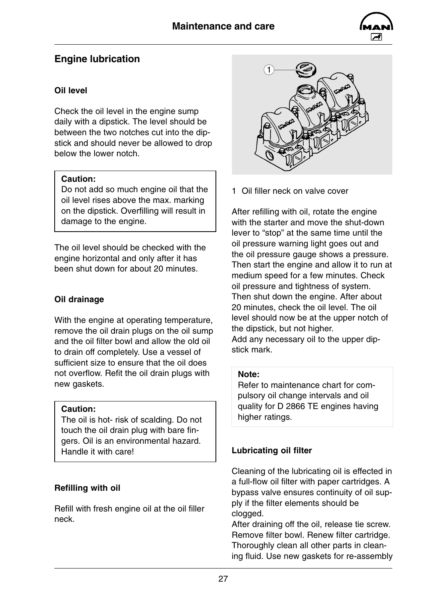

### <span id="page-28-0"></span>**Engine lubrication**

### **Oil level**

Check the oil level in the engine sump daily with a dipstick. The level should be between the two notches cut into the dipstick and should never be allowed to drop below the lower notch.

### **Caution:**

Do not add so much engine oil that the oil level rises above the max. marking on the dipstick. Overfilling will result in damage to the engine.

The oil level should be checked with the engine horizontal and only after it has been shut down for about 20 minutes.

### **Oil drainage**

With the engine at operating temperature, remove the oil drain plugs on the oil sump and the oil filter bowl and allow the old oil to drain off completely. Use a vessel of sufficient size to ensure that the oil does not overflow. Refit the oil drain plugs with new gaskets.

### **Caution:**

The oil is hot- risk of scalding. Do not touch the oil drain plug with bare fingers. Oil is an environmental hazard. Handle it with care!

### **Refilling with oil**

Refill with fresh engine oil at the oil filler neck.



1 Oil filler neck on valve cover

After refilling with oil, rotate the engine with the starter and move the shut-down lever to "stop" at the same time until the oil pressure warning light goes out and the oil pressure gauge shows a pressure. Then start the engine and allow it to run at medium speed for a few minutes. Check oil pressure and tightness of system. Then shut down the engine. After about 20 minutes, check the oil level. The oil level should now be at the upper notch of the dipstick, but not higher. Add any necessary oil to the upper dipstick mark.

### **Note:**

Refer to maintenance chart for compulsory oil change intervals and oil quality for D 2866 TE engines having higher ratings.

### **Lubricating oil filter**

Cleaning of the lubricating oil is effected in a full-flow oil filter with paper cartridges. A bypass valve ensures continuity of oil supply if the filter elements should be clogged.

After draining off the oil, release tie screw. Remove filter bowl. Renew filter cartridge. Thoroughly clean all other parts in cleaning fluid. Use new gaskets for re-assembly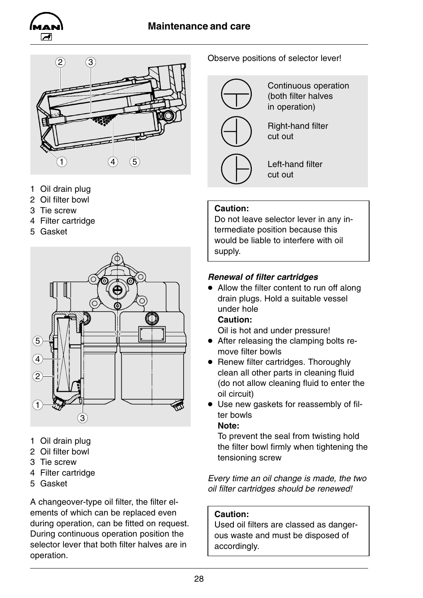### **Maintenance and care**





- 1 Oil drain plug
- 2 Oil filter bowl
- 3 Tie screw
- 4 Filter cartridge
- 5 Gasket



- 1 Oil drain plug
- 2 Oil filter bowl
- 3 Tie screw
- 4 Filter cartridge
- 5 Gasket

A changeover-type oil filter, the filter elements of which can be replaced even during operation, can be fitted on request. During continuous operation position the selector lever that both filter halves are in operation.

### Observe positions of selector lever!



Continuous operation (both filter halves in operation)



Left-hand filter cut out

### **Caution:**

Do not leave selector lever in any intermediate position because this would be liable to interfere with oil supply.

### *Renewal of filter cartridges*

 $\bullet$  Allow the filter content to run off along drain plugs. Hold a suitable vessel under hole

### **Caution:**

Oil is hot and under pressure!

- After releasing the clamping bolts remove filter bowls
- Renew filter cartridges. Thoroughly clean all other parts in cleaning fluid (do not allow cleaning fluid to enter the oil circuit)
- Use new gaskets for reassembly of filter bowls

#### **Note:**

To prevent the seal from twisting hold the filter bowl firmly when tightening the tensioning screw

*Every time an oil change is made, the two oil filter cartridges should be renewed!*

### **Caution:**

Used oil filters are classed as dangerous waste and must be disposed of accordingly.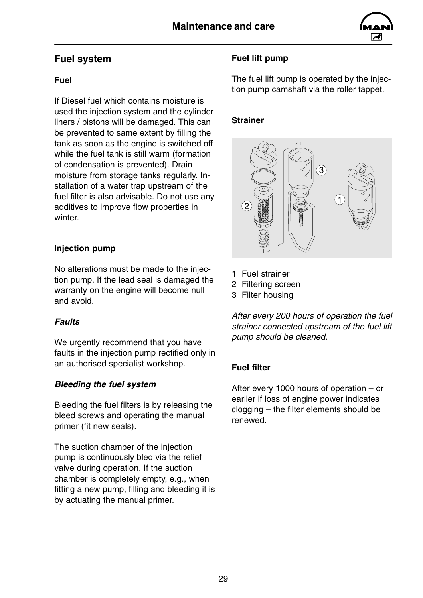

### <span id="page-30-0"></span>**Fuel system**

### **Fuel**

If Diesel fuel which contains moisture is used the injection system and the cylinder liners / pistons will be damaged. This can be prevented to same extent by filling the tank as soon as the engine is switched off while the fuel tank is still warm (formation of condensation is prevented). Drain moisture from storage tanks regularly. Installation of a water trap upstream of the fuel filter is also advisable. Do not use any additives to improve flow properties in winter.

### **Injection pump**

No alterations must be made to the injection pump. If the lead seal is damaged the warranty on the engine will become null and avoid.

### *Faults*

We urgently recommend that you have faults in the injection pump rectified only in an authorised specialist workshop.

### *Bleeding the fuel system*

Bleeding the fuel filters is by releasing the bleed screws and operating the manual primer (fit new seals).

The suction chamber of the injection pump is continuously bled via the relief valve during operation. If the suction chamber is completely empty, e.g., when fitting a new pump, filling and bleeding it is by actuating the manual primer.

### **Fuel lift pump**

The fuel lift pump is operated by the injection pump camshaft via the roller tappet.

### **Strainer**



- 1 Fuel strainer
- 2 Filtering screen
- 3 Filter housing

*After every 200 hours of operation the fuel strainer connected upstream of the fuel lift pump should be cleaned.*

### **Fuel filter**

After every 1000 hours of operation – or earlier if loss of engine power indicates clogging – the filter elements should be renewed.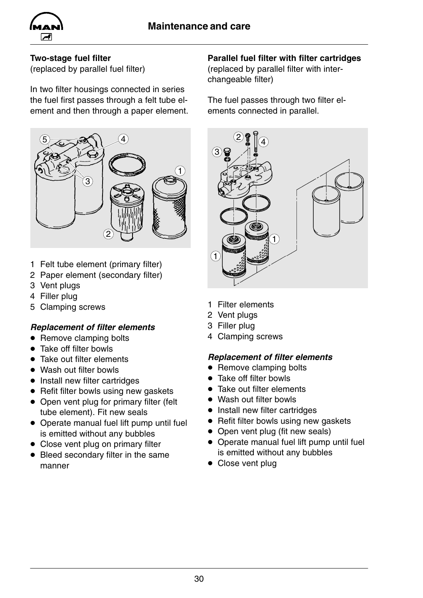

### **Two-stage fuel filter**

(replaced by parallel fuel filter)

In two filter housings connected in series the fuel first passes through a felt tube element and then through a paper element.



- 1 Felt tube element (primary filter)
- 2 Paper element (secondary filter)
- 3 Vent plugs
- 4 Filler plug
- 5 Clamping screws

### *Replacement of filter elements*

- Remove clamping bolts
- $\bullet$  Take off filter bowls
- $\bullet$  Take out filter elements
- Wash out filter bowls
- $\bullet$  Install new filter cartridges
- $\bullet$  Refit filter bowls using new gaskets
- Open vent plug for primary filter (felt tube element). Fit new seals
- Operate manual fuel lift pump until fuel is emitted without any bubbles
- $\bullet$  Close vent plug on primary filter
- $\bullet$  Bleed secondary filter in the same manner

### **Parallel fuel filter with filter cartridges**

(replaced by parallel filter with interchangeable filter)

The fuel passes through two filter elements connected in parallel.



- 1 Filter elements
- 2 Vent plugs
- 3 Filler plug
- 4 Clamping screws

### *Replacement of filter elements*

- Remove clamping bolts
- $\bullet$  Take off filter bowls
- $\bullet$  Take out filter elements
- Wash out filter bowls
- Install new filter cartridges
- Refit filter bowls using new gaskets
- Open vent plug (fit new seals)
- Operate manual fuel lift pump until fuel is emitted without any bubbles
- $\bullet$  Close vent plug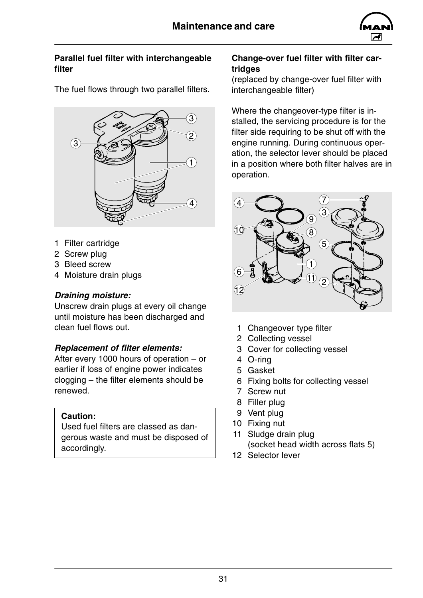

#### **Parallel fuel filter with interchangeable filter**

The fuel flows through two parallel filters.



- 1 Filter cartridge
- 2 Screw plug
- 3 Bleed screw
- 4 Moisture drain plugs

### *Draining moisture:*

Unscrew drain plugs at every oil change until moisture has been discharged and clean fuel flows out.

### *Replacement of filter elements:*

After every 1000 hours of operation – or earlier if loss of engine power indicates clogging – the filter elements should be renewed.

### **Caution:**

Used fuel filters are classed as dangerous waste and must be disposed of accordingly.

#### **Change-over fuel filter with filter cartridges**

(replaced by change-over fuel filter with interchangeable filter)

Where the changeover-type filter is installed, the servicing procedure is for the filter side requiring to be shut off with the engine running. During continuous operation, the selector lever should be placed in a position where both filter halves are in operation.



- 1 Changeover type filter
- 2 Collecting vessel
- 3 Cover for collecting vessel
- 4 O-ring
- 5 Gasket
- 6 Fixing bolts for collecting vessel
- 7 Screw nut
- 8 Filler plug
- 9 Vent plug
- 10 Fixing nut
- 11 Sludge drain plug (socket head width across flats 5)
- 12 Selector lever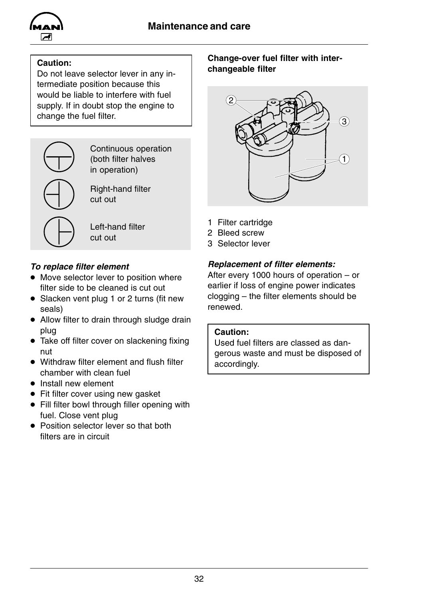

### **Caution:**

Do not leave selector lever in any intermediate position because this would be liable to interfere with fuel supply. If in doubt stop the engine to change the fuel filter.



Continuous operation (both filter halves in operation)

Right-hand filter cut out

Left-hand filter cut out

### *To replace filter element*

- Move selector lever to position where filter side to be cleaned is cut out
- Slacken vent plug 1 or 2 turns (fit new seals)
- Allow filter to drain through sludge drain plug
- $\bullet$  Take off filter cover on slackening fixing nut
- Withdraw filter element and flush filter chamber with clean fuel
- $\bullet$  Install new element
- Fit filter cover using new gasket
- $\bullet$  Fill filter bowl through filler opening with fuel. Close vent plug
- Position selector lever so that both filters are in circuit

### **Change-over fuel filter with interchangeable filter**



- 1 Filter cartridge
- 2 Bleed screw
- 3 Selector lever

### *Replacement of filter elements:*

After every 1000 hours of operation – or earlier if loss of engine power indicates clogging – the filter elements should be renewed.

#### **Caution:**

Used fuel filters are classed as dangerous waste and must be disposed of accordingly.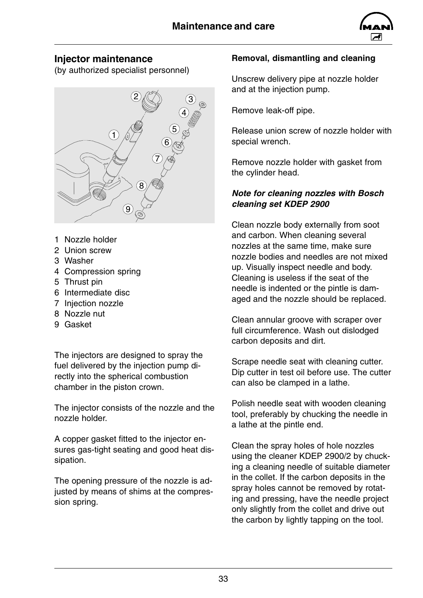

### <span id="page-34-0"></span>**Injector maintenance**

(by authorized specialist personnel)



- 1 Nozzle holder
- 2 Union screw
- 3 Washer
- 4 Compression spring
- 5 Thrust pin
- 6 Intermediate disc
- 7 Injection nozzle
- 8 Nozzle nut
- 9 Gasket

The injectors are designed to spray the fuel delivered by the injection pump directly into the spherical combustion chamber in the piston crown.

The injector consists of the nozzle and the nozzle holder.

A copper gasket fitted to the injector ensures gas-tight seating and good heat dissipation.

The opening pressure of the nozzle is adjusted by means of shims at the compression spring.

### **Removal, dismantling and cleaning**

Unscrew delivery pipe at nozzle holder and at the injection pump.

Remove leak-off pipe.

Release union screw of nozzle holder with special wrench.

Remove nozzle holder with gasket from the cylinder head.

### *Note for cleaning nozzles with Bosch cleaning set KDEP 2900*

Clean nozzle body externally from soot and carbon. When cleaning several nozzles at the same time, make sure nozzle bodies and needles are not mixed up. Visually inspect needle and body. Cleaning is useless if the seat of the needle is indented or the pintle is damaged and the nozzle should be replaced.

Clean annular groove with scraper over full circumference. Wash out dislodged carbon deposits and dirt.

Scrape needle seat with cleaning cutter. Dip cutter in test oil before use. The cutter can also be clamped in a lathe.

Polish needle seat with wooden cleaning tool, preferably by chucking the needle in a lathe at the pintle end.

Clean the spray holes of hole nozzles using the cleaner KDEP 2900/2 by chucking a cleaning needle of suitable diameter in the collet. If the carbon deposits in the spray holes cannot be removed by rotating and pressing, have the needle project only slightly from the collet and drive out the carbon by lightly tapping on the tool.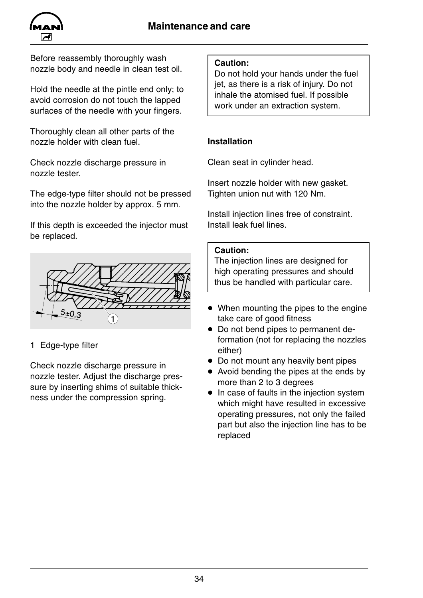

Before reassembly thoroughly wash nozzle body and needle in clean test oil.

Hold the needle at the pintle end only; to avoid corrosion do not touch the lapped surfaces of the needle with your fingers.

Thoroughly clean all other parts of the nozzle holder with clean fuel.

Check nozzle discharge pressure in nozzle tester.

The edge-type filter should not be pressed into the nozzle holder by approx. 5 mm.

If this depth is exceeded the injector must be replaced.



### 1 Edge-type filter

Check nozzle discharge pressure in nozzle tester. Adjust the discharge pressure by inserting shims of suitable thickness under the compression spring.

### **Caution:**

Do not hold your hands under the fuel jet, as there is a risk of injury. Do not inhale the atomised fuel. If possible work under an extraction system.

### **Installation**

Clean seat in cylinder head.

Insert nozzle holder with new gasket. Tighten union nut with 120 Nm.

Install injection lines free of constraint. Install leak fuel lines.

### **Caution:**

The injection lines are designed for high operating pressures and should thus be handled with particular care.

- $\bullet$  When mounting the pipes to the engine take care of good fitness
- Do not bend pipes to permanent deformation (not for replacing the nozzles either)
- Do not mount any heavily bent pipes
- $\bullet$  Avoid bending the pipes at the ends by more than 2 to 3 degrees
- $\bullet$  In case of faults in the injection system which might have resulted in excessive operating pressures, not only the failed part but also the injection line has to be replaced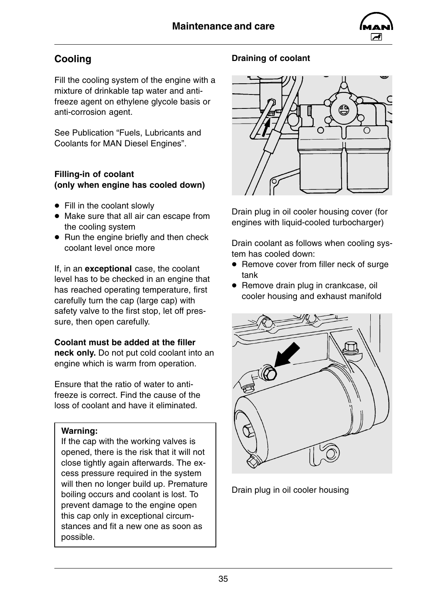

### <span id="page-36-0"></span>**Cooling**

Fill the cooling system of the engine with a mixture of drinkable tap water and antifreeze agent on ethylene glycole basis or anti-corrosion agent.

See Publication "Fuels, Lubricants and Coolants for MAN Diesel Engines".

### **Filling-in of coolant (only when engine has cooled down)**

- $\bullet$  Fill in the coolant slowly
- Make sure that all air can escape from the cooling system
- $\bullet$  Run the engine briefly and then check coolant level once more

If, in an **exceptional** case, the coolant level has to be checked in an engine that has reached operating temperature, first carefully turn the cap (large cap) with safety valve to the first stop, let off pressure, then open carefully.

### **Coolant must be added at the filler**

**neck only.** Do not put cold coolant into an engine which is warm from operation.

Ensure that the ratio of water to antifreeze is correct. Find the cause of the loss of coolant and have it eliminated.

### **Warning:**

If the cap with the working valves is opened, there is the risk that it will not close tightly again afterwards. The excess pressure required in the system will then no longer build up. Premature boiling occurs and coolant is lost. To prevent damage to the engine open this cap only in exceptional circumstances and fit a new one as soon as possible.

### **Draining of coolant**



Drain plug in oil cooler housing cover (for engines with liquid-cooled turbocharger)

Drain coolant as follows when cooling system has cooled down:

- Remove cover from filler neck of surge tank
- Remove drain plug in crankcase, oil cooler housing and exhaust manifold



Drain plug in oil cooler housing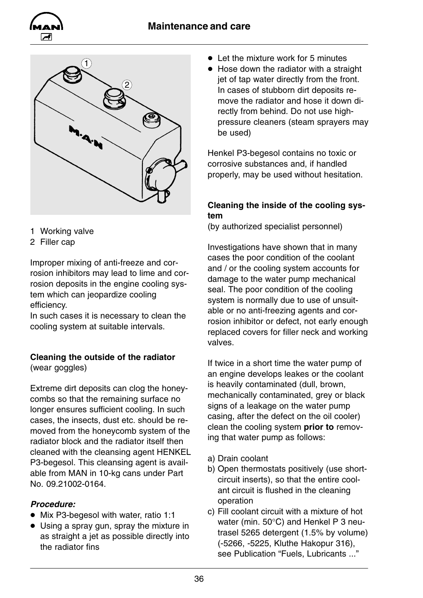

<span id="page-37-0"></span>



- 1 Working valve
- 2 Filler cap

Improper mixing of anti-freeze and corrosion inhibitors may lead to lime and corrosion deposits in the engine cooling system which can jeopardize cooling efficiency.

In such cases it is necessary to clean the cooling system at suitable intervals.

#### **Cleaning the outside of the radiator** (wear goggles)

Extreme dirt deposits can clog the honeycombs so that the remaining surface no longer ensures sufficient cooling. In such cases, the insects, dust etc. should be removed from the honeycomb system of the radiator block and the radiator itself then cleaned with the cleansing agent HENKEL P3-begesol. This cleansing agent is available from MAN in 10-kg cans under Part No. 09.21002-0164.

### *Procedure:*

- $\bullet$  Mix P3-begesol with water, ratio 1:1
- $\bullet$  Using a spray gun, spray the mixture in as straight a jet as possible directly into the radiator fins
- $\bullet$  Let the mixture work for 5 minutes
- $\bullet$  Hose down the radiator with a straight jet of tap water directly from the front. In cases of stubborn dirt deposits remove the radiator and hose it down directly from behind. Do not use highpressure cleaners (steam sprayers may be used)

Henkel P3-begesol contains no toxic or corrosive substances and, if handled properly, may be used without hesitation.

### **Cleaning the inside of the cooling system**

(by authorized specialist personnel)

Investigations have shown that in many cases the poor condition of the coolant and / or the cooling system accounts for damage to the water pump mechanical seal. The poor condition of the cooling system is normally due to use of unsuitable or no anti-freezing agents and corrosion inhibitor or defect, not early enough replaced covers for filler neck and working valves.

If twice in a short time the water pump of an engine develops leakes or the coolant is heavily contaminated (dull, brown, mechanically contaminated, grey or black signs of a leakage on the water pump casing, after the defect on the oil cooler) clean the cooling system **prior to** removing that water pump as follows:

- a) Drain coolant
- b) Open thermostats positively (use shortcircuit inserts), so that the entire coolant circuit is flushed in the cleaning operation
- c) Fill coolant circuit with a mixture of hot water (min. 50°C) and Henkel P 3 neutrasel 5265 detergent (1.5% by volume) (-5266, -5225, Kluthe Hakopur 316), see Publication "Fuels, Lubricants ..."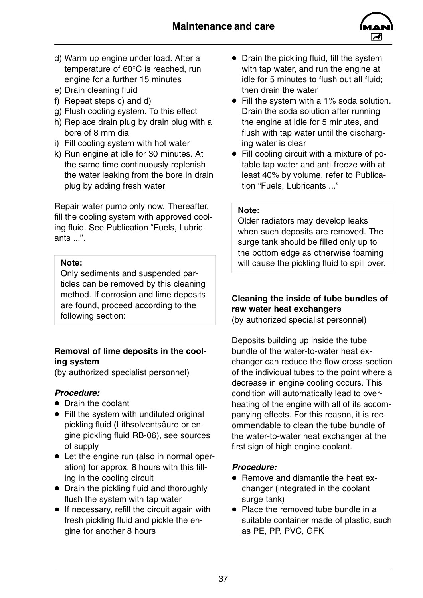

- <span id="page-38-0"></span>d) Warm up engine under load. After a temperature of 60°C is reached, run engine for a further 15 minutes
- e) Drain cleaning fluid
- f) Repeat steps c) and d)
- g) Flush cooling system. To this effect
- h) Replace drain plug by drain plug with a bore of 8 mm dia
- i) Fill cooling system with hot water
- k) Run engine at idle for 30 minutes. At the same time continuously replenish the water leaking from the bore in drain plug by adding fresh water

Repair water pump only now. Thereafter, fill the cooling system with approved cooling fluid. See Publication "Fuels, Lubricants ...".

#### **Note:**

Only sediments and suspended particles can be removed by this cleaning method. If corrosion and lime deposits are found, proceed according to the following section:

### **Removal of lime deposits in the cooling system**

(by authorized specialist personnel)

### *Procedure:*

- Drain the coolant
- $\bullet$  Fill the system with undiluted original pickling fluid (Lithsolventsäure or engine pickling fluid RB-06), see sources of supply
- Let the engine run (also in normal operation) for approx. 8 hours with this filling in the cooling circuit
- Drain the pickling fluid and thoroughly flush the system with tap water
- $\bullet$  If necessary, refill the circuit again with fresh pickling fluid and pickle the engine for another 8 hours
- $\bullet$  Drain the pickling fluid, fill the system with tap water, and run the engine at idle for 5 minutes to flush out all fluid; then drain the water
- $\bullet$  Fill the system with a 1% soda solution. Drain the soda solution after running the engine at idle for 5 minutes, and flush with tap water until the discharging water is clear
- Fill cooling circuit with a mixture of potable tap water and anti-freeze with at least 40% by volume, refer to Publication "Fuels, Lubricants ..."

#### **Note:**

Older radiators may develop leaks when such deposits are removed. The surge tank should be filled only up to the bottom edge as otherwise foaming will cause the pickling fluid to spill over.

### **Cleaning the inside of tube bundles of raw water heat exchangers**

(by authorized specialist personnel)

Deposits building up inside the tube bundle of the water-to-water heat exchanger can reduce the flow cross-section of the individual tubes to the point where a decrease in engine cooling occurs. This condition will automatically lead to overheating of the engine with all of its accompanying effects. For this reason, it is recommendable to clean the tube bundle of the water-to-water heat exchanger at the first sign of high engine coolant.

### *Procedure:*

- Remove and dismantle the heat exchanger (integrated in the coolant surge tank)
- $\bullet$  Place the removed tube bundle in a suitable container made of plastic, such as PE, PP, PVC, GFK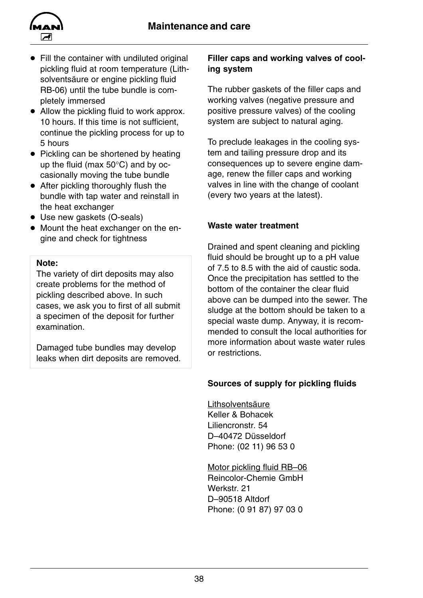<span id="page-39-0"></span>

- $\bullet$  Fill the container with undiluted original pickling fluid at room temperature (Lithsolventsäure or engine pickling fluid RB-06) until the tube bundle is completely immersed
- $\bullet$  Allow the pickling fluid to work approx. 10 hours. If this time is not sufficient. continue the pickling process for up to 5 hours
- Pickling can be shortened by heating up the fluid (max 50°C) and by occasionally moving the tube bundle
- $\bullet$  After pickling thoroughly flush the bundle with tap water and reinstall in the heat exchanger
- Use new gaskets (O-seals)
- $\bullet$  Mount the heat exchanger on the engine and check for tightness

#### **Note:**

The variety of dirt deposits may also create problems for the method of pickling described above. In such cases, we ask you to first of all submit a specimen of the deposit for further examination.

Damaged tube bundles may develop leaks when dirt deposits are removed.

### **Filler caps and working valves of cooling system**

The rubber gaskets of the filler caps and working valves (negative pressure and positive pressure valves) of the cooling system are subject to natural aging.

To preclude leakages in the cooling system and tailing pressure drop and its consequences up to severe engine damage, renew the filler caps and working valves in line with the change of coolant (every two years at the latest).

### **Waste water treatment**

Drained and spent cleaning and pickling fluid should be brought up to a pH value of 7.5 to 8.5 with the aid of caustic soda. Once the precipitation has settled to the bottom of the container the clear fluid above can be dumped into the sewer. The sludge at the bottom should be taken to a special waste dump. Anyway, it is recommended to consult the local authorities for more information about waste water rules or restrictions.

### **Sources of supply for pickling fluids**

Lithsolventsäure Keller & Bohacek Liliencronstr. 54 D–40472 Düsseldorf Phone: (02 11) 96 53 0

Motor pickling fluid RB–06 Reincolor-Chemie GmbH Werkstr. 21 D–90518 Altdorf Phone: (0 91 87) 97 03 0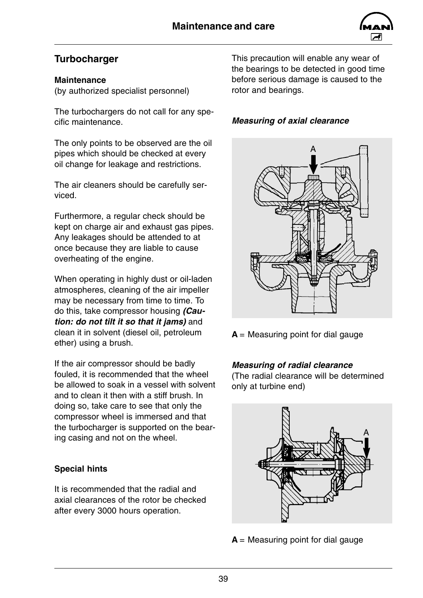

### <span id="page-40-0"></span>**Turbocharger**

#### **Maintenance**

(by authorized specialist personnel)

The turbochargers do not call for any specific maintenance.

The only points to be observed are the oil pipes which should be checked at every oil change for leakage and restrictions.

The air cleaners should be carefully serviced.

Furthermore, a regular check should be kept on charge air and exhaust gas pipes. Any leakages should be attended to at once because they are liable to cause overheating of the engine.

When operating in highly dust or oil-laden atmospheres, cleaning of the air impeller may be necessary from time to time. To do this, take compressor housing *(Caution: do not tilt it so that it jams)* and clean it in solvent (diesel oil, petroleum ether) using a brush.

If the air compressor should be badly fouled, it is recommended that the wheel be allowed to soak in a vessel with solvent and to clean it then with a stiff brush. In doing so, take care to see that only the compressor wheel is immersed and that the turbocharger is supported on the bearing casing and not on the wheel.

### **Special hints**

It is recommended that the radial and axial clearances of the rotor be checked after every 3000 hours operation.

This precaution will enable any wear of the bearings to be detected in good time before serious damage is caused to the rotor and bearings.

### *Measuring of axial clearance*



**A** = Measuring point for dial gauge

### *Measuring of radial clearance*

(The radial clearance will be determined only at turbine end)



**A** = Measuring point for dial gauge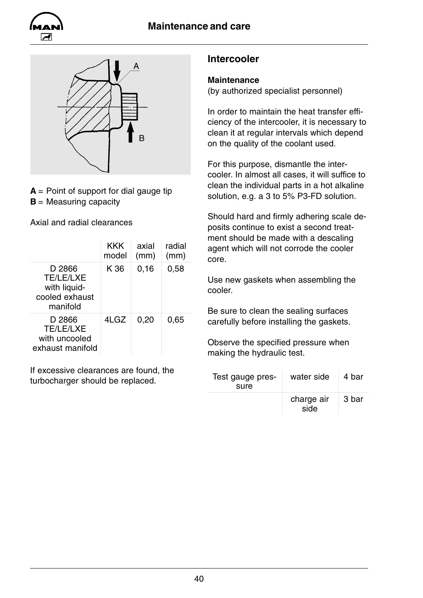<span id="page-41-0"></span>



 $A =$  Point of support for dial gauge tip **B** = Measuring capacity

Axial and radial clearances

|                                                                          | <b>KKK</b><br>model | axial<br>(mm) | radial<br>(mm) |
|--------------------------------------------------------------------------|---------------------|---------------|----------------|
| D 2866<br><b>TE/LE/LXE</b><br>with liquid-<br>cooled exhaust<br>manifold | K 36                | 0, 16         | 0,58           |
| D 2866<br><b>TE/LE/LXE</b><br>with uncooled<br>exhaust manifold          | 4LGZ                | 0,20          | 0,65           |

If excessive clearances are found, the turbocharger should be replaced.

### **Intercooler**

### **Maintenance**

(by authorized specialist personnel)

In order to maintain the heat transfer efficiency of the intercooler, it is necessary to clean it at regular intervals which depend on the quality of the coolant used.

For this purpose, dismantle the intercooler. In almost all cases, it will suffice to clean the individual parts in a hot alkaline solution, e.g. a 3 to 5% P3-FD solution.

Should hard and firmly adhering scale deposits continue to exist a second treatment should be made with a descaling agent which will not corrode the cooler core.

Use new gaskets when assembling the cooler.

Be sure to clean the sealing surfaces carefully before installing the gaskets.

Observe the specified pressure when making the hydraulic test.

| Test gauge pres-<br>sure | water side         | 4 bar |
|--------------------------|--------------------|-------|
|                          | charge air<br>side | 3 bar |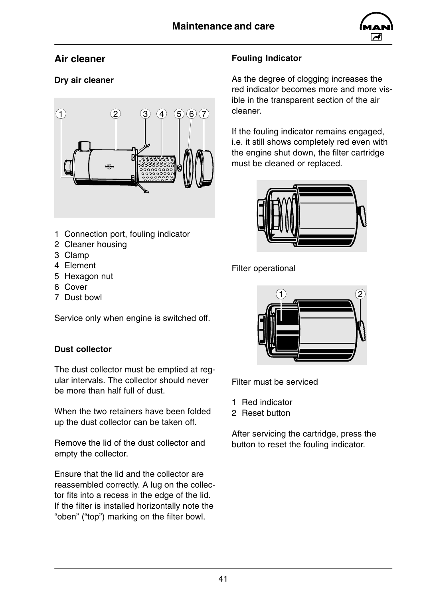

### <span id="page-42-0"></span>**Air cleaner**

### **Dry air cleaner**



- 1 Connection port, fouling indicator
- 2 Cleaner housing
- 3 Clamp
- 4 Element
- 5 Hexagon nut
- 6 Cover
- 7 Dust bowl

Service only when engine is switched off.

### **Dust collector**

The dust collector must be emptied at regular intervals. The collector should never be more than half full of dust.

When the two retainers have been folded up the dust collector can be taken off.

Remove the lid of the dust collector and empty the collector.

Ensure that the lid and the collector are reassembled correctly. A lug on the collector fits into a recess in the edge of the lid. If the filter is installed horizontally note the "oben" ("top") marking on the filter bowl.

### **Fouling Indicator**

As the degree of clogging increases the red indicator becomes more and more visible in the transparent section of the air cleaner.

If the fouling indicator remains engaged, i.e. it still shows completely red even with the engine shut down, the filter cartridge must be cleaned or replaced.



Filter operational



Filter must be serviced

- 1 Red indicator
- 2 Reset button

After servicing the cartridge, press the button to reset the fouling indicator.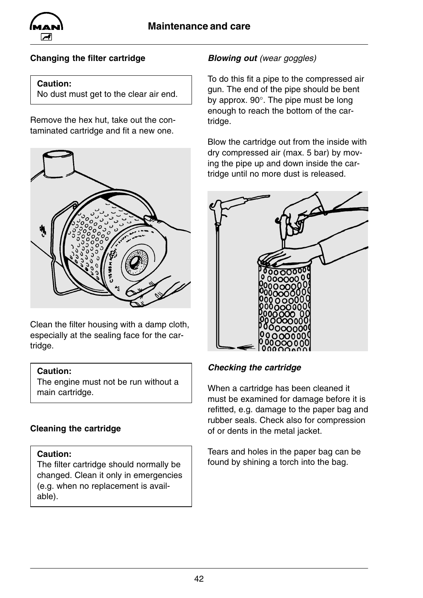

### **Changing the filter cartridge**

#### **Caution:**

No dust must get to the clear air end.

Remove the hex hut, take out the contaminated cartridge and fit a new one.



Clean the filter housing with a damp cloth, especially at the sealing face for the cartridge.

#### **Caution:**

The engine must not be run without a main cartridge.

#### **Cleaning the cartridge**

#### **Caution:**

The filter cartridge should normally be changed. Clean it only in emergencies (e.g. when no replacement is available).

### *Blowing out (wear goggles)*

To do this fit a pipe to the compressed air gun. The end of the pipe should be bent by approx. 90°. The pipe must be long enough to reach the bottom of the cartridge.

Blow the cartridge out from the inside with dry compressed air (max. 5 bar) by moving the pipe up and down inside the cartridge until no more dust is released.



#### *Checking the cartridge*

When a cartridge has been cleaned it must be examined for damage before it is refitted, e.g. damage to the paper bag and rubber seals. Check also for compression of or dents in the metal jacket.

Tears and holes in the paper bag can be found by shining a torch into the bag.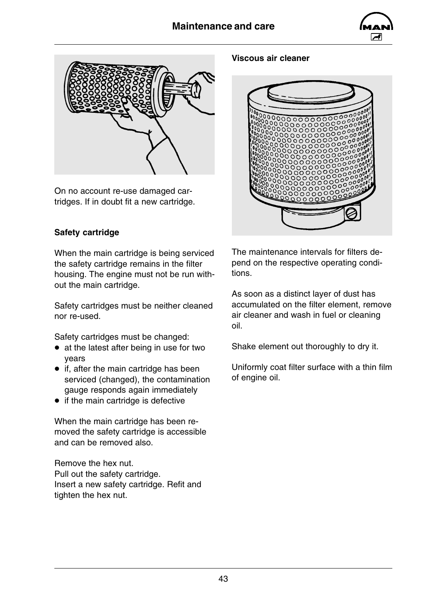



On no account re-use damaged cartridges. If in doubt fit a new cartridge.

#### **Viscous air cleaner**



### **Safety cartridge**

When the main cartridge is being serviced the safety cartridge remains in the filter housing. The engine must not be run without the main cartridge.

Safety cartridges must be neither cleaned nor re-used.

Safety cartridges must be changed:

- $\bullet$  at the latest after being in use for two years
- $\bullet$  if, after the main cartridge has been serviced (changed), the contamination gauge responds again immediately
- $\bullet$  if the main cartridge is defective

When the main cartridge has been removed the safety cartridge is accessible and can be removed also.

Remove the hex nut. Pull out the safety cartridge. Insert a new safety cartridge. Refit and tighten the hex nut.

The maintenance intervals for filters depend on the respective operating conditions.

As soon as a distinct layer of dust has accumulated on the filter element, remove air cleaner and wash in fuel or cleaning oil.

Shake element out thoroughly to dry it.

Uniformly coat filter surface with a thin film of engine oil.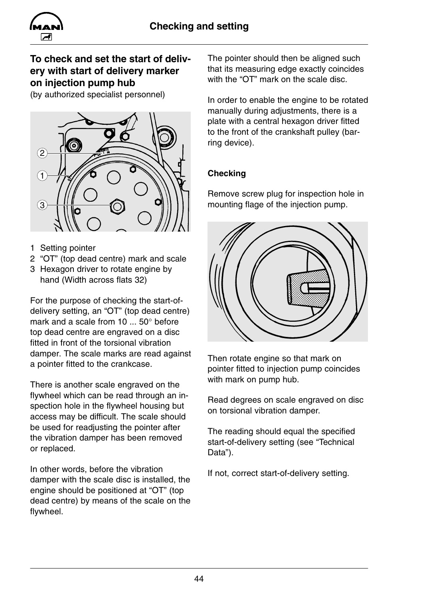<span id="page-45-0"></span>

### **To check and set the start of delivery with start of delivery marker on injection pump hub**

(by authorized specialist personnel)



- 1 Setting pointer
- 2 "OT" (top dead centre) mark and scale
- 3 Hexagon driver to rotate engine by hand (Width across flats 32)

For the purpose of checking the start-ofdelivery setting, an "OT" (top dead centre) mark and a scale from 10 ... 50° before top dead centre are engraved on a disc fitted in front of the torsional vibration damper. The scale marks are read against a pointer fitted to the crankcase.

There is another scale engraved on the flywheel which can be read through an inspection hole in the flywheel housing but access may be difficult. The scale should be used for readjusting the pointer after the vibration damper has been removed or replaced.

In other words, before the vibration damper with the scale disc is installed, the engine should be positioned at "OT" (top dead centre) by means of the scale on the flywheel.

The pointer should then be aligned such that its measuring edge exactly coincides with the "OT" mark on the scale disc.

In order to enable the engine to be rotated manually during adjustments, there is a plate with a central hexagon driver fitted to the front of the crankshaft pulley (barring device).

### **Checking**

Remove screw plug for inspection hole in mounting flage of the injection pump.



Then rotate engine so that mark on pointer fitted to injection pump coincides with mark on pump hub.

Read degrees on scale engraved on disc on torsional vibration damper.

The reading should equal the specified start-of-delivery setting (see "Technical Data").

If not, correct start-of-delivery setting.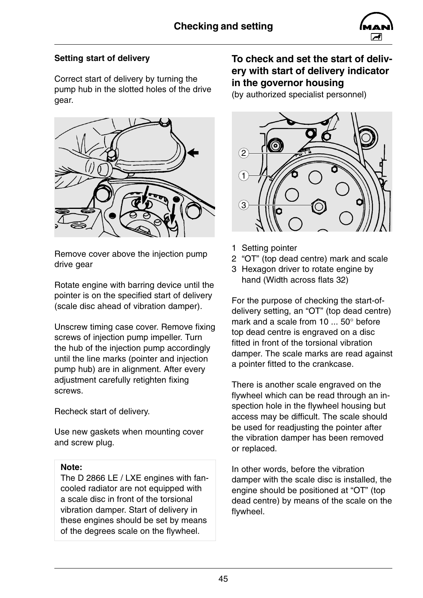

### **Setting start of delivery**

Correct start of delivery by turning the pump hub in the slotted holes of the drive gear.



Remove cover above the injection pump drive gear

Rotate engine with barring device until the pointer is on the specified start of delivery (scale disc ahead of vibration damper).

Unscrew timing case cover. Remove fixing screws of injection pump impeller. Turn the hub of the injection pump accordingly until the line marks (pointer and injection pump hub) are in alignment. After every adjustment carefully retighten fixing screws.

Recheck start of delivery.

Use new gaskets when mounting cover and screw plug.

### **Note:**

The D 2866 LE / LXE engines with fancooled radiator are not equipped with a scale disc in front of the torsional vibration damper. Start of delivery in these engines should be set by means of the degrees scale on the flywheel.

### **To check and set the start of delivery with start of delivery indicator in the governor housing**

(by authorized specialist personnel)



- 1 Setting pointer
- 2 "OT" (top dead centre) mark and scale
- 3 Hexagon driver to rotate engine by hand (Width across flats 32)

For the purpose of checking the start-ofdelivery setting, an "OT" (top dead centre) mark and a scale from 10 ... 50° before top dead centre is engraved on a disc fitted in front of the torsional vibration damper. The scale marks are read against a pointer fitted to the crankcase.

There is another scale engraved on the flywheel which can be read through an inspection hole in the flywheel housing but access may be difficult. The scale should be used for readjusting the pointer after the vibration damper has been removed or replaced.

In other words, before the vibration damper with the scale disc is installed, the engine should be positioned at "OT" (top dead centre) by means of the scale on the flywheel.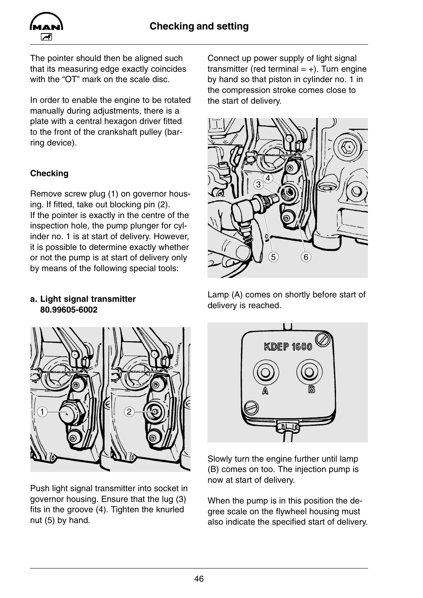

The pointer should then be aligned such that its measuring edge exactly coincides with the "OT" mark on the scale disc.

In order to enable the engine to be rotated manually during adjustments, there is a plate with a central hexagon driver fitted to the front of the crankshaft pulley (barring device).

### **Checking**

Remove screw plug (1) on governor housing. If fitted, take out blocking pin (2). If the pointer is exactly in the centre of the inspection hole, the pump plunger for cylinder no. 1 is at start of delivery. However, it is possible to determine exactly whether or not the pump is at start of delivery only by means of the following special tools:

#### **a. Light signal transmitter 80.99605-6002**



Push light signal transmitter into socket in governor housing. Ensure that the lug (3) fits in the groove (4). Tighten the knurled nut (5) by hand.

Connect up power supply of light signal transmitter (red terminal  $= +$ ). Turn engine by hand so that piston in cylinder no. 1 in the compression stroke comes close to the start of delivery.



Lamp (A) comes on shortly before start of delivery is reached.



Slowly turn the engine further until lamp (B) comes on too. The injection pump is now at start of delivery.

When the pump is in this position the degree scale on the flywheel housing must also indicate the specified start of delivery.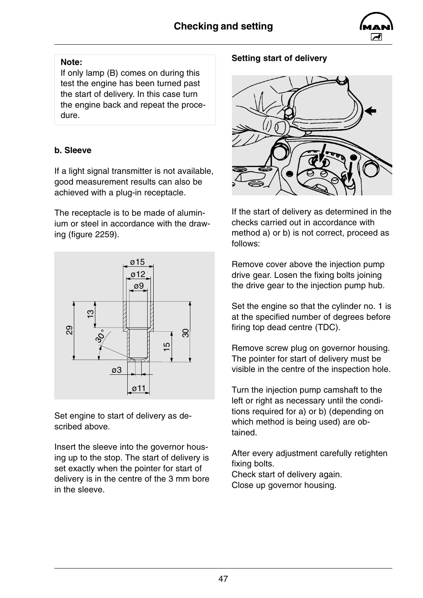

### **Note:**

If only lamp (B) comes on during this test the engine has been turned past the start of delivery. In this case turn the engine back and repeat the procedure.

### **b. Sleeve**

If a light signal transmitter is not available, good measurement results can also be achieved with a plug-in receptacle.

The receptacle is to be made of aluminium or steel in accordance with the drawing (figure 2259).



Set engine to start of delivery as described above.

Insert the sleeve into the governor housing up to the stop. The start of delivery is set exactly when the pointer for start of delivery is in the centre of the 3 mm bore in the sleeve.

### **Setting start of delivery**



If the start of delivery as determined in the checks carried out in accordance with method a) or b) is not correct, proceed as follows:

Remove cover above the injection pump drive gear. Losen the fixing bolts joining the drive gear to the injection pump hub.

Set the engine so that the cylinder no. 1 is at the specified number of degrees before firing top dead centre (TDC).

Remove screw plug on governor housing. The pointer for start of delivery must be visible in the centre of the inspection hole.

Turn the injection pump camshaft to the left or right as necessary until the conditions required for a) or b) (depending on which method is being used) are obtained.

After every adjustment carefully retighten fixing bolts. Check start of delivery again. Close up governor housing.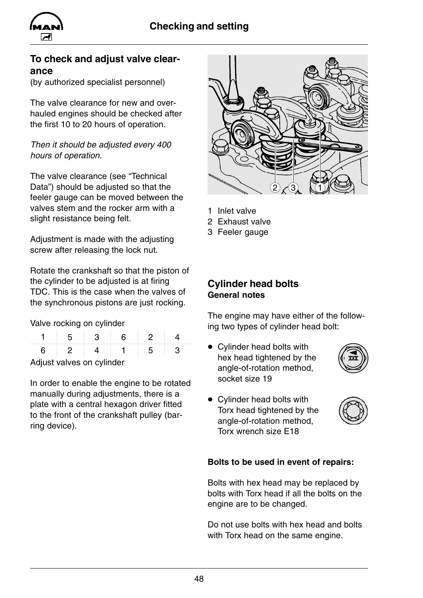<span id="page-49-0"></span>

### **To check and adjust valve clearance**

(by authorized specialist personnel)

The valve clearance for new and overhauled engines should be checked after the first 10 to 20 hours of operation.

*Then it should be adjusted every 400 hours of operation.*

The valve clearance (see "Technical Data") should be adjusted so that the feeler gauge can be moved between the valves stem and the rocker arm with a slight resistance being felt.

Adjustment is made with the adjusting screw after releasing the lock nut.

Rotate the crankshaft so that the piston of the cylinder to be adjusted is at firing TDC. This is the case when the valves of the synchronous pistons are just rocking.

Valve rocking on cylinder

| Adjust valves on cylinder |  |  |  |  |  |
|---------------------------|--|--|--|--|--|

In order to enable the engine to be rotated manually during adjustments, there is a plate with a central hexagon driver fitted to the front of the crankshaft pulley (barring device).



- 1 Inlet valve
- 2 Exhaust valve
- 3 Feeler gauge

**Cylinder head bolts General notes**

The engine may have either of the following two types of cylinder head bolt:

• Cylinder head bolts with hex head tightened by the angle-of-rotation method, socket size 19



• Cylinder head bolts with Torx head tightened by the angle-of-rotation method, Torx wrench size E18



#### **Bolts to be used in event of repairs:**

Bolts with hex head may be replaced by bolts with Torx head if all the bolts on the engine are to be changed.

Do not use bolts with hex head and bolts with Torx head on the same engine.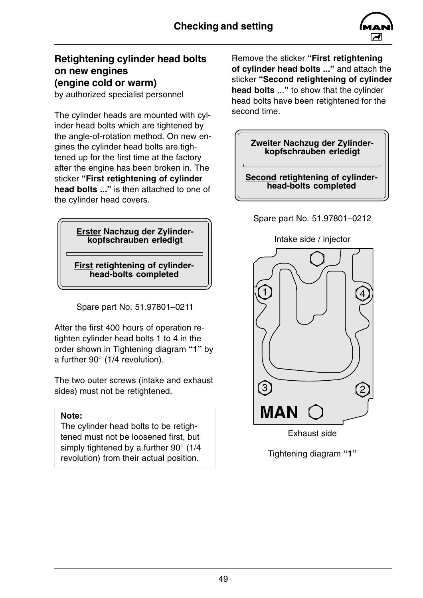

### **Retightening cylinder head bolts on new engines (engine cold or warm)**

by authorized specialist personnel

The cylinder heads are mounted with cylinder head bolts which are tightened by the angle-of-rotation method. On new engines the cylinder head bolts are tightened up for the first time at the factory after the engine has been broken in. The sticker **"First retightening of cylinder head bolts ..."** is then attached to one of the cylinder head covers.

#### **Erster Nachzug der Zylinderkopfschrauben erledigt**

**First retightening of cylinderhead-bolts completed**

Spare part No. 51.97801–0211

After the first 400 hours of operation retighten cylinder head bolts 1 to 4 in the order shown in Tightening diagram **"1"** by a further 90° (1/4 revolution).

The two outer screws (intake and exhaust sides) must not be retightened.

#### **Note:**

The cylinder head bolts to be retightened must not be loosened first, but simply tightened by a further 90° (1/4 revolution) from their actual position.

Remove the sticker **"First retightening of cylinder head bolts ..."** and attach the sticker **"Second retightening of cylinder head bolts** ...**"** to show that the cylinder head bolts have been retightened for the second time.



Spare part No. 51.97801–0212

**head-bolts completed**



Tightening diagram **"1"**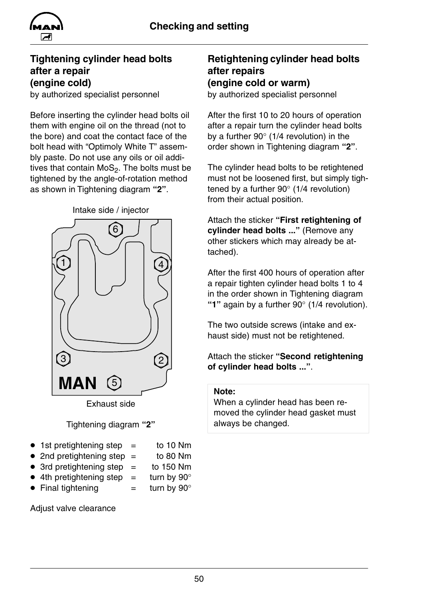

### **Tightening cylinder head bolts after a repair (engine cold)**

by authorized specialist personnel

Before inserting the cylinder head bolts oil them with engine oil on the thread (not to the bore) and coat the contact face of the bolt head with "Optimoly White T" assembly paste. Do not use any oils or oil additives that contain  $MoS<sub>2</sub>$ . The bolts must be tightened by the angle-of-rotation method as shown in Tightening diagram **"2"**.



# Tightening diagram **"2"**

- $\bullet$  1st pretightening step  $=$  to 10 Nm
- 2nd pretightening step  $=$  to 80 Nm
- $\bullet$  3rd pretightening step = to 150 Nm
- $\bullet$  4th pretightening step  $=$  turn by 90 $^{\circ}$
- Final tightening  $=$  turn by  $90^{\circ}$

Adjust valve clearance

### **Retightening cylinder head bolts after repairs (engine cold or warm)**

by authorized specialist personnel

After the first 10 to 20 hours of operation after a repair turn the cylinder head bolts by a further 90° (1/4 revolution) in the order shown in Tightening diagram **"2"**.

The cylinder head bolts to be retightened must not be loosened first, but simply tightened by a further 90° (1/4 revolution) from their actual position.

Attach the sticker **"First retightening of cylinder head bolts ..."** (Remove any other stickers which may already be attached).

After the first 400 hours of operation after a repair tighten cylinder head bolts 1 to 4 in the order shown in Tightening diagram **"1"** again by a further 90° (1/4 revolution).

The two outside screws (intake and exhaust side) must not be retightened.

### Attach the sticker **"Second retightening of cylinder head bolts ..."**.

### **Note:**

When a cylinder head has been removed the cylinder head gasket must always be changed.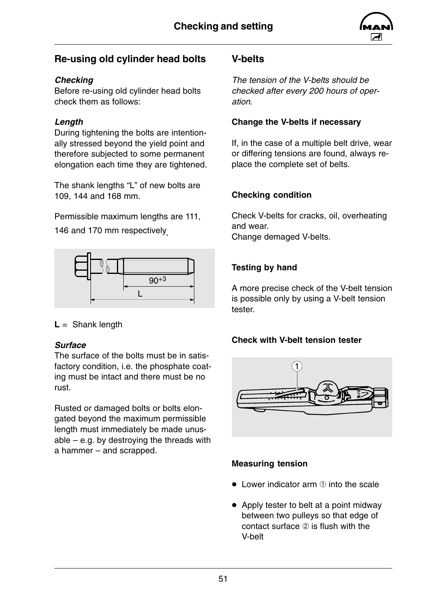

### <span id="page-52-0"></span>**Re-using old cylinder head bolts**

### *Checking*

Before re-using old cylinder head bolts check them as follows:

### *Length*

During tightening the bolts are intentionally stressed beyond the yield point and therefore subjected to some permanent elongation each time they are tightened.

The shank lengths "L" of new bolts are 109, 144 and 168 mm.

Permissible maximum lengths are 111,

146 and 170 mm respectively.



**L** = Shank length

### *Surface*

The surface of the bolts must be in satisfactory condition, i.e. the phosphate coating must be intact and there must be no rust.

Rusted or damaged bolts or bolts elongated beyond the maximum permissible length must immediately be made unusable – e.g. by destroying the threads with a hammer – and scrapped.

### **V-belts**

*The tension of the V-belts should be checked after every 200 hours of operation.*

### **Change the V-belts if necessary**

If, in the case of a multiple belt drive, wear or differing tensions are found, always replace the complete set of belts.

### **Checking condition**

Check V-belts for cracks, oil, overheating and wear. Change demaged V-belts.

### **Testing by hand**

A more precise check of the V-belt tension is possible only by using a V-belt tension tester.

### **Check with V-belt tension tester**



### **Measuring tension**

- $\bullet$  Lower indicator arm  $\circled$  into the scale
- $\bullet$  Apply tester to belt at a point midway between two pulleys so that edge of contact surface  $(2)$  is flush with the V-belt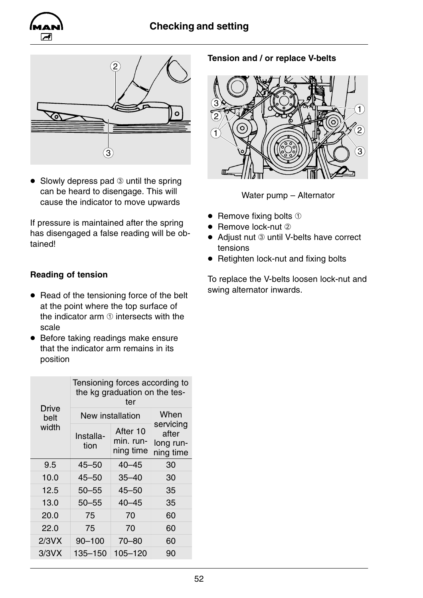### **Checking and setting**





 $\bullet$  Slowly depress pad  $\circledcirc$  until the spring can be heard to disengage. This will cause the indicator to move upwards

If pressure is maintained after the spring has disengaged a false reading will be obtained!

### **Reading of tension**

- $\bullet$  Read of the tensioning force of the belt at the point where the top surface of the indicator arm  $\odot$  intersects with the scale
- Before taking readings make ensure that the indicator arm remains in its position

|                      | Tensioning forces according to<br>the kg graduation on the tes-<br>ter |                                    |                                              |
|----------------------|------------------------------------------------------------------------|------------------------------------|----------------------------------------------|
| <b>Drive</b><br>belt | New installation                                                       | When                               |                                              |
| width                | Installa-<br>tion                                                      | After 10<br>min. run-<br>ning time | servicing<br>after<br>long run-<br>ning time |
| 9.5                  | $45 - 50$                                                              | $40 - 45$                          | 30                                           |
| 10.0                 | $45 - 50$                                                              | $35 - 40$                          | 30                                           |
| 12.5                 | $50 - 55$                                                              | $45 - 50$                          | 35                                           |
| 13.0                 | $50 - 55$                                                              | $40 - 45$                          | 35                                           |
| 20.0                 | 75                                                                     | 70                                 | 60                                           |
| 22.0                 | 75                                                                     | 70                                 | 60                                           |
| 2/3VX                | $90 - 100$                                                             | $70 - 80$                          | 60                                           |
| 3/3VX                | 135-150                                                                | $105 - 120$                        | 90                                           |

### **Tension and / or replace V-belts**



Water pump – Alternator

- $\bullet$  Remove fixing bolts  $\circled$
- $\bullet$  Remove lock-nut  $\oslash$
- Adjust nut 3 until V-belts have correct tensions
- $\bullet$  Retighten lock-nut and fixing bolts

To replace the V-belts loosen lock-nut and swing alternator inwards.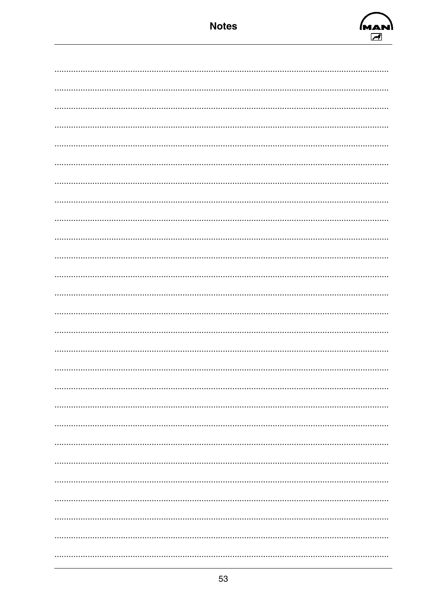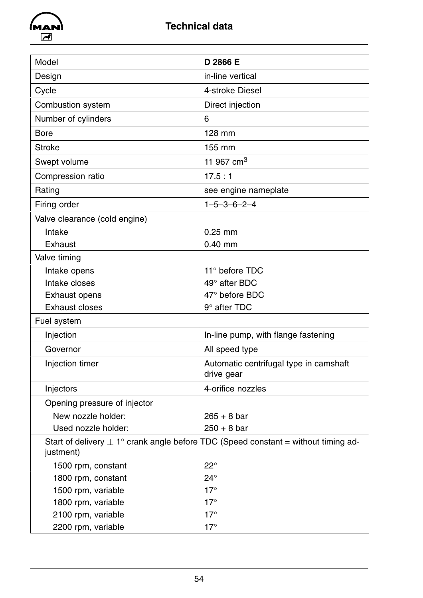<span id="page-55-0"></span>

| Model                         | D 2866 E                                                                                      |
|-------------------------------|-----------------------------------------------------------------------------------------------|
| Design                        | in-line vertical                                                                              |
| Cycle                         | 4-stroke Diesel                                                                               |
| <b>Combustion system</b>      | Direct injection                                                                              |
| Number of cylinders           | 6                                                                                             |
| <b>Bore</b>                   | 128 mm                                                                                        |
| <b>Stroke</b>                 | 155 mm                                                                                        |
| Swept volume                  | 11 967 cm <sup>3</sup>                                                                        |
| Compression ratio             | 17.5:1                                                                                        |
| Rating                        | see engine nameplate                                                                          |
| Firing order                  | $1 - 5 - 3 - 6 - 2 - 4$                                                                       |
| Valve clearance (cold engine) |                                                                                               |
| Intake                        | $0.25$ mm                                                                                     |
| Exhaust                       | $0.40$ mm                                                                                     |
| Valve timing                  |                                                                                               |
| Intake opens                  | 11 $\degree$ before TDC                                                                       |
| Intake closes                 | $49^\circ$ after BDC                                                                          |
| Exhaust opens                 | $47^\circ$ before BDC                                                                         |
| <b>Exhaust closes</b>         | $9^\circ$ after TDC                                                                           |
| Fuel system                   |                                                                                               |
| Injection                     | In-line pump, with flange fastening                                                           |
| Governor                      | All speed type                                                                                |
| Injection timer               | Automatic centrifugal type in camshaft<br>drive gear                                          |
| Injectors                     | 4-orifice nozzles                                                                             |
| Opening pressure of injector  |                                                                                               |
| New nozzle holder:            | $265 + 8$ bar                                                                                 |
| Used nozzle holder:           | $250 + 8$ bar                                                                                 |
| justment)                     | Start of delivery $\pm 1^{\circ}$ crank angle before TDC (Speed constant = without timing ad- |
| 1500 rpm, constant            | $22^{\circ}$                                                                                  |
| 1800 rpm, constant            | $24^{\circ}$                                                                                  |
| 1500 rpm, variable            | $17^\circ$                                                                                    |
| 1800 rpm, variable            | $17^\circ$                                                                                    |
| 2100 rpm, variable            | $17^\circ$                                                                                    |
| 2200 rpm, variable            | $17^\circ$                                                                                    |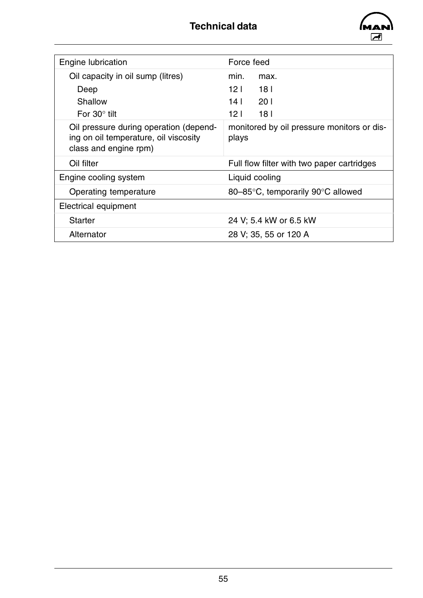

| Engine lubrication                                                                                       | Force feed                                          |
|----------------------------------------------------------------------------------------------------------|-----------------------------------------------------|
| Oil capacity in oil sump (litres)                                                                        | min.<br>max.                                        |
| Deep                                                                                                     | 12 <sub>1</sub><br>18 <sup>1</sup>                  |
| Shallow                                                                                                  | 14 <sup>1</sup><br>201                              |
| For $30^\circ$ tilt                                                                                      | 12 <sub>1</sub><br>18 <sub>1</sub>                  |
| Oil pressure during operation (depend-<br>ing on oil temperature, oil viscosity<br>class and engine rpm) | monitored by oil pressure monitors or dis-<br>plays |
| Oil filter                                                                                               | Full flow filter with two paper cartridges          |
| Engine cooling system                                                                                    | Liquid cooling                                      |
| Operating temperature                                                                                    | 80-85°C, temporarily 90°C allowed                   |
| Electrical equipment                                                                                     |                                                     |
| <b>Starter</b>                                                                                           | 24 V; 5.4 kW or 6.5 kW                              |
| Alternator                                                                                               | 28 V; 35, 55 or 120 A                               |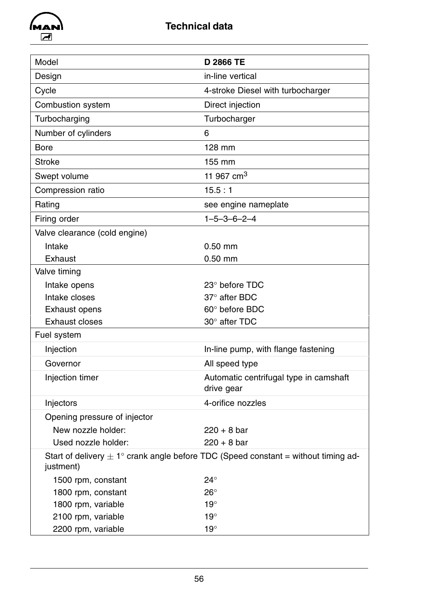

| Model                         | <b>D 2866 TE</b>                                                                              |
|-------------------------------|-----------------------------------------------------------------------------------------------|
| Design                        | in-line vertical                                                                              |
| Cycle                         | 4-stroke Diesel with turbocharger                                                             |
| <b>Combustion system</b>      | Direct injection                                                                              |
| Turbocharging                 | Turbocharger                                                                                  |
| Number of cylinders           | 6                                                                                             |
| <b>Bore</b>                   | 128 mm                                                                                        |
| <b>Stroke</b>                 | 155 mm                                                                                        |
| Swept volume                  | 11 967 cm <sup>3</sup>                                                                        |
| Compression ratio             | 15.5:1                                                                                        |
| Rating                        | see engine nameplate                                                                          |
| Firing order                  | $1 - 5 - 3 - 6 - 2 - 4$                                                                       |
| Valve clearance (cold engine) |                                                                                               |
| Intake                        | $0.50$ mm                                                                                     |
| Exhaust                       | $0.50$ mm                                                                                     |
| Valve timing                  |                                                                                               |
| Intake opens                  | $23^\circ$ before TDC                                                                         |
| Intake closes                 | 37° after BDC                                                                                 |
| <b>Exhaust opens</b>          | 60° before BDC                                                                                |
| <b>Exhaust closes</b>         | 30° after TDC                                                                                 |
| Fuel system                   |                                                                                               |
| Injection                     | In-line pump, with flange fastening                                                           |
| Governor                      | All speed type                                                                                |
| Injection timer               | Automatic centrifugal type in camshaft<br>drive gear                                          |
| Injectors                     | 4-orifice nozzles                                                                             |
| Opening pressure of injector  |                                                                                               |
| New nozzle holder:            | $220 + 8$ bar                                                                                 |
| Used nozzle holder:           | $220 + 8$ bar                                                                                 |
| justment)                     | Start of delivery $\pm 1^{\circ}$ crank angle before TDC (Speed constant = without timing ad- |
| 1500 rpm, constant            | $24^{\circ}$                                                                                  |
| 1800 rpm, constant            | $26^{\circ}$                                                                                  |
| 1800 rpm, variable            | $19^\circ$                                                                                    |
| 2100 rpm, variable            | $19^\circ$                                                                                    |
| 2200 rpm, variable            | $19^\circ$                                                                                    |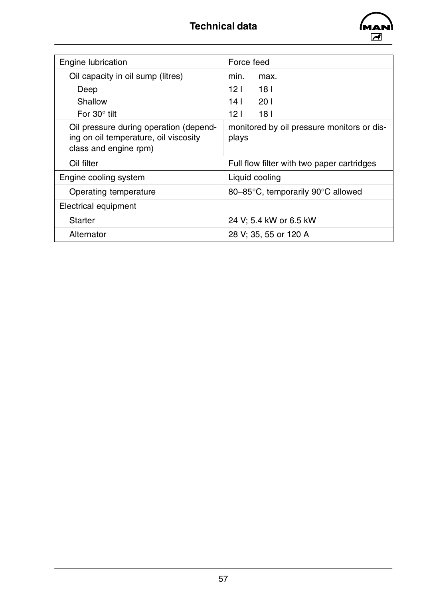

| <b>Engine lubrication</b>                                                                                | Force feed                                          |
|----------------------------------------------------------------------------------------------------------|-----------------------------------------------------|
| Oil capacity in oil sump (litres)                                                                        | min.<br>max.                                        |
| Deep                                                                                                     | 12 L<br>18 I                                        |
| Shallow                                                                                                  | 201<br>14 L                                         |
| For $30^\circ$ tilt                                                                                      | 12 <sub>1</sub><br>18 <sub>l</sub>                  |
| Oil pressure during operation (depend-<br>ing on oil temperature, oil viscosity<br>class and engine rpm) | monitored by oil pressure monitors or dis-<br>plays |
| Oil filter                                                                                               | Full flow filter with two paper cartridges          |
| Engine cooling system                                                                                    | Liquid cooling                                      |
| Operating temperature                                                                                    | 80-85°C, temporarily 90°C allowed                   |
| Electrical equipment                                                                                     |                                                     |
| <b>Starter</b>                                                                                           | 24 V; 5.4 kW or 6.5 kW                              |
| Alternator                                                                                               | 28 V; 35, 55 or 120 A                               |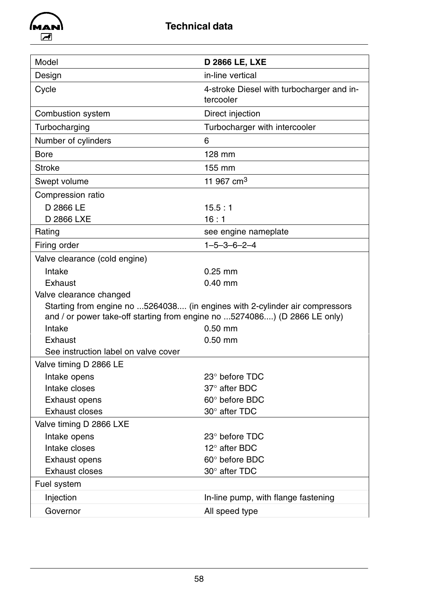

| Model                                                                                                | <b>D 2866 LE, LXE</b>                                                       |
|------------------------------------------------------------------------------------------------------|-----------------------------------------------------------------------------|
| Design                                                                                               | in-line vertical                                                            |
| Cycle                                                                                                | 4-stroke Diesel with turbocharger and in-<br>tercooler                      |
| <b>Combustion system</b>                                                                             | Direct injection                                                            |
| Turbocharging                                                                                        | Turbocharger with intercooler                                               |
| Number of cylinders                                                                                  | 6                                                                           |
| <b>Bore</b>                                                                                          | 128 mm                                                                      |
| <b>Stroke</b>                                                                                        | 155 mm                                                                      |
| Swept volume                                                                                         | 11 967 cm <sup>3</sup>                                                      |
| Compression ratio                                                                                    |                                                                             |
| D 2866 LE                                                                                            | 15.5:1                                                                      |
| D 2866 LXE                                                                                           | 16:1                                                                        |
| Rating                                                                                               | see engine nameplate                                                        |
| Firing order                                                                                         | $1 - 5 - 3 - 6 - 2 - 4$                                                     |
| Valve clearance (cold engine)                                                                        |                                                                             |
| Intake                                                                                               | $0.25$ mm                                                                   |
| <b>Exhaust</b>                                                                                       | $0.40$ mm                                                                   |
| Valve clearance changed<br>and / or power take-off starting from engine no 5274086) (D 2866 LE only) | Starting from engine no 5264038 (in engines with 2-cylinder air compressors |
| Intake                                                                                               | $0.50$ mm                                                                   |
| <b>Exhaust</b>                                                                                       | $0.50$ mm                                                                   |
| See instruction label on valve cover                                                                 |                                                                             |
| Valve timing D 2866 LE                                                                               |                                                                             |
| Intake opens                                                                                         | 23° before TDC                                                              |
| Intake closes                                                                                        | 37° after BDC                                                               |
| <b>Exhaust opens</b>                                                                                 | 60° before BDC                                                              |
| <b>Exhaust closes</b>                                                                                | 30° after TDC                                                               |
| Valve timing D 2866 LXE                                                                              |                                                                             |
| Intake opens                                                                                         | 23° before TDC                                                              |
| Intake closes                                                                                        | $12^{\circ}$ after BDC                                                      |
| <b>Exhaust opens</b>                                                                                 | 60° before BDC                                                              |
| <b>Exhaust closes</b>                                                                                | 30° after TDC                                                               |
| Fuel system                                                                                          |                                                                             |
| Injection                                                                                            | In-line pump, with flange fastening                                         |
| Governor                                                                                             | All speed type                                                              |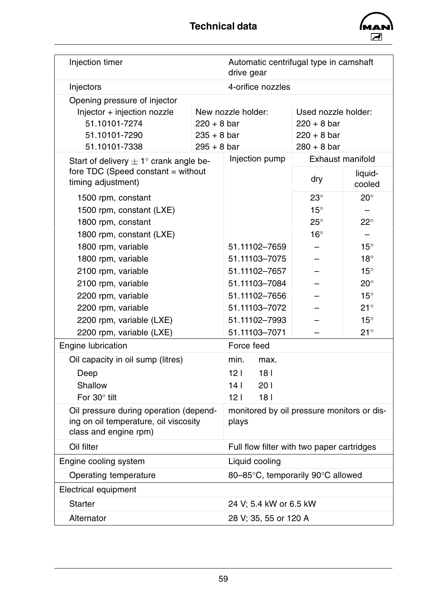

| Injection timer                                            |                                                                                                                                        | Automatic centrifugal type in camshaft<br>drive gear |                     |                   |
|------------------------------------------------------------|----------------------------------------------------------------------------------------------------------------------------------------|------------------------------------------------------|---------------------|-------------------|
| Injectors                                                  |                                                                                                                                        | 4-orifice nozzles                                    |                     |                   |
| Opening pressure of injector                               |                                                                                                                                        |                                                      |                     |                   |
| Injector + injection nozzle                                |                                                                                                                                        | New nozzle holder:                                   | Used nozzle holder: |                   |
| 51.10101-7274                                              | $220 + 8$ bar                                                                                                                          |                                                      | $220 + 8$ bar       |                   |
| 51.10101-7290                                              | $235 + 8$ bar                                                                                                                          |                                                      | $220 + 8$ bar       |                   |
| 51.10101-7338                                              | $295 + 8$ bar                                                                                                                          |                                                      | $280 + 8$ bar       |                   |
| Start of delivery $\pm 1^{\circ}$ crank angle be-          |                                                                                                                                        | Injection pump                                       | Exhaust manifold    |                   |
| fore $TDC$ (Speed constant = without<br>timing adjustment) |                                                                                                                                        |                                                      | dry                 | liquid-<br>cooled |
| 1500 rpm, constant                                         |                                                                                                                                        |                                                      | $23^\circ$          | $20^{\circ}$      |
| 1500 rpm, constant (LXE)                                   |                                                                                                                                        |                                                      | $15^\circ$          |                   |
| 1800 rpm, constant                                         |                                                                                                                                        |                                                      | $25^{\circ}$        | $22^{\circ}$      |
| 1800 rpm, constant (LXE)                                   |                                                                                                                                        |                                                      | $16^{\circ}$        |                   |
| 1800 rpm, variable                                         |                                                                                                                                        | 51.11102-7659                                        |                     | $15^{\circ}$      |
| 1800 rpm, variable                                         |                                                                                                                                        | 51.11103-7075                                        |                     | $18^\circ$        |
| 2100 rpm, variable                                         |                                                                                                                                        | 51.11102-7657                                        |                     | $15^\circ$        |
| 2100 rpm, variable                                         |                                                                                                                                        | 51.11103-7084                                        |                     | $20^{\circ}$      |
| 2200 rpm, variable                                         |                                                                                                                                        | 51.11102-7656                                        |                     | $15^\circ$        |
| 2200 rpm, variable                                         |                                                                                                                                        | 51.11103-7072                                        |                     | $21^{\circ}$      |
| 2200 rpm, variable (LXE)                                   |                                                                                                                                        | 51.11102-7993                                        |                     | $15^\circ$        |
| 2200 rpm, variable (LXE)                                   |                                                                                                                                        | 51.11103-7071                                        |                     | $21^{\circ}$      |
| <b>Engine lubrication</b>                                  |                                                                                                                                        | Force feed                                           |                     |                   |
| Oil capacity in oil sump (litres)                          |                                                                                                                                        | min.<br>max.                                         |                     |                   |
| Deep                                                       |                                                                                                                                        | 121<br>18 <sub>1</sub>                               |                     |                   |
| Shallow                                                    |                                                                                                                                        | 14 <sub>1</sub><br>201                               |                     |                   |
| For 30° tilt                                               |                                                                                                                                        | 181<br>12 <sub>1</sub>                               |                     |                   |
| class and engine rpm)                                      | Oil pressure during operation (depend-<br>monitored by oil pressure monitors or dis-<br>ing on oil temperature, oil viscosity<br>plays |                                                      |                     |                   |
| Oil filter<br>Full flow filter with two paper cartridges   |                                                                                                                                        |                                                      |                     |                   |
| Liquid cooling<br>Engine cooling system                    |                                                                                                                                        |                                                      |                     |                   |
| 80-85°C, temporarily 90°C allowed<br>Operating temperature |                                                                                                                                        |                                                      |                     |                   |
| Electrical equipment                                       |                                                                                                                                        |                                                      |                     |                   |
| <b>Starter</b>                                             |                                                                                                                                        | 24 V; 5.4 kW or 6.5 kW                               |                     |                   |
| Alternator<br>28 V; 35, 55 or 120 A                        |                                                                                                                                        |                                                      |                     |                   |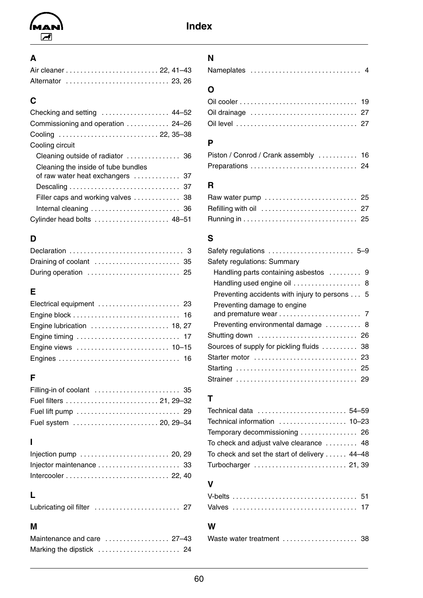<span id="page-61-0"></span>

### **A**

|  |  | Alternator  23, 26 |
|--|--|--------------------|

### **C**

| Checking and setting  44–52        |
|------------------------------------|
| Commissioning and operation  24-26 |
| Cooling  22, 35–38                 |
|                                    |
|                                    |
|                                    |
| of raw water heat exchangers  37   |
|                                    |
| Filler caps and working valves  38 |
|                                    |
| Cylinder head bolts  48-51         |
|                                    |

### **D**

| During operation  25 |  |
|----------------------|--|

### **E**

| Electrical equipment  23   |  |
|----------------------------|--|
|                            |  |
| Engine lubrication  18, 27 |  |
|                            |  |
|                            |  |
|                            |  |

### **F**

### **I**

| Injection pump $\ldots \ldots \ldots \ldots \ldots \ldots \ldots$ 20, 29 |  |
|--------------------------------------------------------------------------|--|
|                                                                          |  |
|                                                                          |  |

### **L**

|--|--|--|

### **M**

| Maintenance and care  27–43 |  |
|-----------------------------|--|
|                             |  |

### **N**

|--|--|--|

### **O**

| Oil drainage  27 |  |
|------------------|--|
|                  |  |

### **P**

| Piston / Conrod / Crank assembly  16 |  |  |  |  |  |  |  |  |  |
|--------------------------------------|--|--|--|--|--|--|--|--|--|
| Preparations  24                     |  |  |  |  |  |  |  |  |  |

### **R**

| Raw water pump  25 |  |
|--------------------|--|
|                    |  |
|                    |  |

### **S**

| Safety regulations  5-9                       |
|-----------------------------------------------|
| Safety regulations: Summary                   |
| Handling parts containing asbestos  9         |
| Handling used engine oil  8                   |
| Preventing accidents with injury to persons 5 |
| Preventing damage to engine                   |
|                                               |
| Preventing environmental damage  8            |
| Shutting down  26                             |
| Sources of supply for pickling fluids  38     |
| Starter motor  23                             |
|                                               |
|                                               |

### **T**

| Technical data  54-59                         |  |
|-----------------------------------------------|--|
| Technical information  10-23                  |  |
|                                               |  |
| To check and adjust valve clearance  48       |  |
| To check and set the start of delivery  44-48 |  |
| Turbocharger  21, 39                          |  |

### **V**

### **W**

|--|--|--|